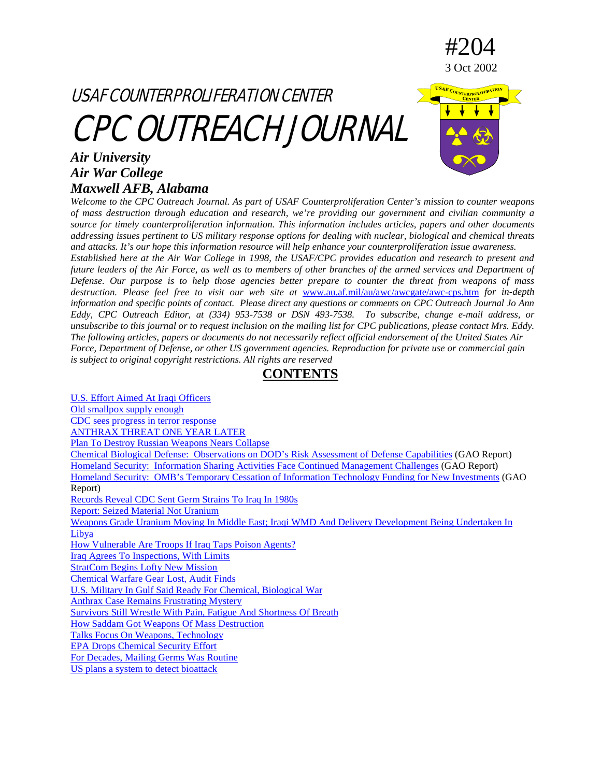



USAF COUT

#204

3 Oct 2002

### *Air University Air War College Maxwell AFB, Alabama*

*Welcome to the CPC Outreach Journal. As part of USAF Counterproliferation Center's mission to counter weapons of mass destruction through education and research, we're providing our government and civilian community a source for timely counterproliferation information. This information includes articles, papers and other documents addressing issues pertinent to US military response options for dealing with nuclear, biological and chemical threats and attacks. It's our hope this information resource will help enhance your counterproliferation issue awareness. Established here at the Air War College in 1998, the USAF/CPC provides education and research to present and* 

*future leaders of the Air Force, as well as to members of other branches of the armed services and Department of Defense. Our purpose is to help those agencies better prepare to counter the threat from weapons of mass destruction. Please feel free to visit our web site at* [www.au.af.mil/au/awc/awcgate/awc-cps.htm](http://www.au.af.mil/au/awc/awcgate/awc-cps.htm) *for in-depth information and specific points of contact. Please direct any questions or comments on CPC Outreach Journal Jo Ann Eddy, CPC Outreach Editor, at (334) 953-7538 or DSN 493-7538. To subscribe, change e-mail address, or unsubscribe to this journal or to request inclusion on the mailing list for CPC publications, please contact Mrs. Eddy. The following articles, papers or documents do not necessarily reflect official endorsement of the United States Air Force, Department of Defense, or other US government agencies. Reproduction for private use or commercial gain is subject to original copyright restrictions. All rights are reserved*

**CONTENTS**

<span id="page-0-0"></span>[U.S. Effort Aimed At Iraqi Officers](#page-1-0) [Old smallpox supply enough](#page-2-0) [CDC sees progress in terror response](#page-2-1) [ANTHRAX THREAT ONE YEAR LATER](#page-3-0) [Plan To Destroy Russian Weapons Nears Collapse](#page-7-0) [Chemical Biological Defense: Observations on DOD's Risk Assessment of Defense Capabilities](#page-9-0) (GAO Report) [Homeland Security: Information Sharing Activities Face Continued Management Challenges](#page-9-1) (GAO Report) [Homeland Security: OMB's Temporary Cessation of Information Technology Funding for New](#page-10-0) Investments (GAO Report) [Records Reveal CDC Sent Germ Strains To Iraq In 1980s](#page-10-1) [Report: Seized Material Not Uranium](#page-11-0) [Weapons Grade Uranium Moving In Middle East; Iraqi WMD And Delivery Development Being Undertaken In](#page-11-1)  [Libya](#page-11-1) [How Vulnerable Are Troops If Iraq Taps Poison Agents?](#page-12-0) [Iraq Agrees To Inspections, With Limits](#page-15-0) [StratCom Begins Lofty New Mission](#page-17-0) [Chemical Warfare Gear Lost, Audit Finds](#page-17-1) [U.S. Military In Gulf Said Ready For Chemical, Biological War](#page-18-0) [Anthrax Case Remains Frustrating Mystery](#page-19-0) [Survivors Still Wrestle With Pain, Fatigue And Shortness Of Breath](#page-21-0) [How Saddam Got Weapons Of Mass Destruction](#page-22-0) Talks Focus On [Weapons, Technology](#page-26-0) [EPA Drops Chemical Security Effort](#page-27-0) [For Decades, Mailing Germs Was Routine](#page-28-0) [US plans a system to detect bioattack](#page-29-0)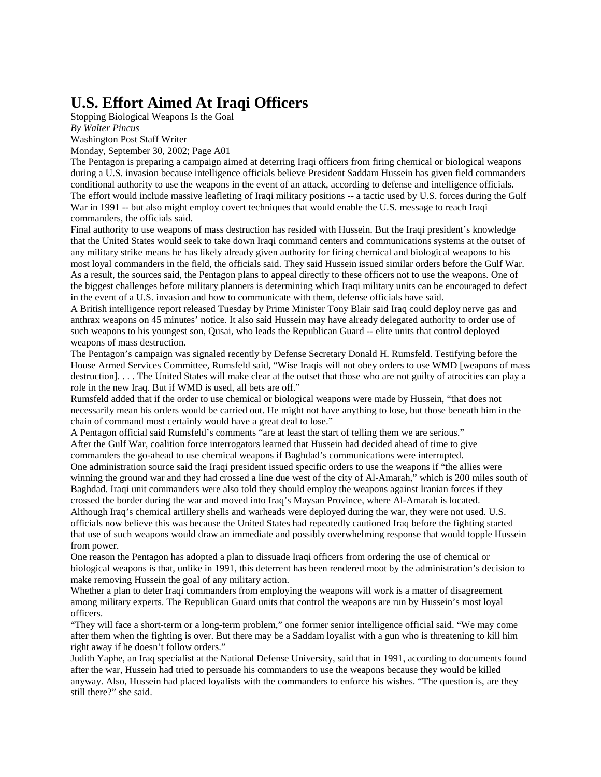### <span id="page-1-0"></span>**U.S. Effort Aimed At Iraqi Officers**

Stopping Biological Weapons Is the Goal

*By Walter Pincus*

Washington Post Staff Writer Monday, September 30, 2002; Page A01

The Pentagon is preparing a campaign aimed at deterring Iraqi officers from firing chemical or biological weapons during a U.S. invasion because intelligence officials believe President Saddam Hussein has given field commanders conditional authority to use the weapons in the event of an attack, according to defense and intelligence officials. The effort would include massive leafleting of Iraqi military positions -- a tactic used by U.S. forces during the Gulf War in 1991 -- but also might employ covert techniques that would enable the U.S. message to reach Iraqi commanders, the officials said.

Final authority to use weapons of mass destruction has resided with Hussein. But the Iraqi president's knowledge that the United States would seek to take down Iraqi command centers and communications systems at the outset of any military strike means he has likely already given authority for firing chemical and biological weapons to his most loyal commanders in the field, the officials said. They said Hussein issued similar orders before the Gulf War. As a result, the sources said, the Pentagon plans to appeal directly to these officers not to use the weapons. One of the biggest challenges before military planners is determining which Iraqi military units can be encouraged to defect in the event of a U.S. invasion and how to communicate with them, defense officials have said.

A British intelligence report released Tuesday by Prime Minister Tony Blair said Iraq could deploy nerve gas and anthrax weapons on 45 minutes' notice. It also said Hussein may have already delegated authority to order use of such weapons to his youngest son, Qusai, who leads the Republican Guard -- elite units that control deployed weapons of mass destruction.

The Pentagon's campaign was signaled recently by Defense Secretary Donald H. Rumsfeld. Testifying before the House Armed Services Committee, Rumsfeld said, "Wise Iraqis will not obey orders to use WMD [weapons of mass destruction]. . . . The United States will make clear at the outset that those who are not guilty of atrocities can play a role in the new Iraq. But if WMD is used, all bets are off."

Rumsfeld added that if the order to use chemical or biological weapons were made by Hussein, "that does not necessarily mean his orders would be carried out. He might not have anything to lose, but those beneath him in the chain of command most certainly would have a great deal to lose."

A Pentagon official said Rumsfeld's comments "are at least the start of telling them we are serious." After the Gulf War, coalition force interrogators learned that Hussein had decided ahead of time to give commanders the go-ahead to use chemical weapons if Baghdad's communications were interrupted. One administration source said the Iraqi president issued specific orders to use the weapons if "the allies were

winning the ground war and they had crossed a line due west of the city of Al-Amarah," which is 200 miles south of Baghdad. Iraqi unit commanders were also told they should employ the weapons against Iranian forces if they crossed the border during the war and moved into Iraq's Maysan Province, where Al-Amarah is located. Although Iraq's chemical artillery shells and warheads were deployed during the war, they were not used. U.S.

officials now believe this was because the United States had repeatedly cautioned Iraq before the fighting started that use of such weapons would draw an immediate and possibly overwhelming response that would topple Hussein from power.

One reason the Pentagon has adopted a plan to dissuade Iraqi officers from ordering the use of chemical or biological weapons is that, unlike in 1991, this deterrent has been rendered moot by the administration's decision to make removing Hussein the goal of any military action.

Whether a plan to deter Iraqi commanders from employing the weapons will work is a matter of disagreement among military experts. The Republican Guard units that control the weapons are run by Hussein's most loyal officers.

"They will face a short-term or a long-term problem," one former senior intelligence official said. "We may come after them when the fighting is over. But there may be a Saddam loyalist with a gun who is threatening to kill him right away if he doesn't follow orders."

Judith Yaphe, an Iraq specialist at the National Defense University, said that in 1991, according to documents found after the war, Hussein had tried to persuade his commanders to use the weapons because they would be killed anyway. Also, Hussein had placed loyalists with the commanders to enforce his wishes. "The question is, are they still there?" she said.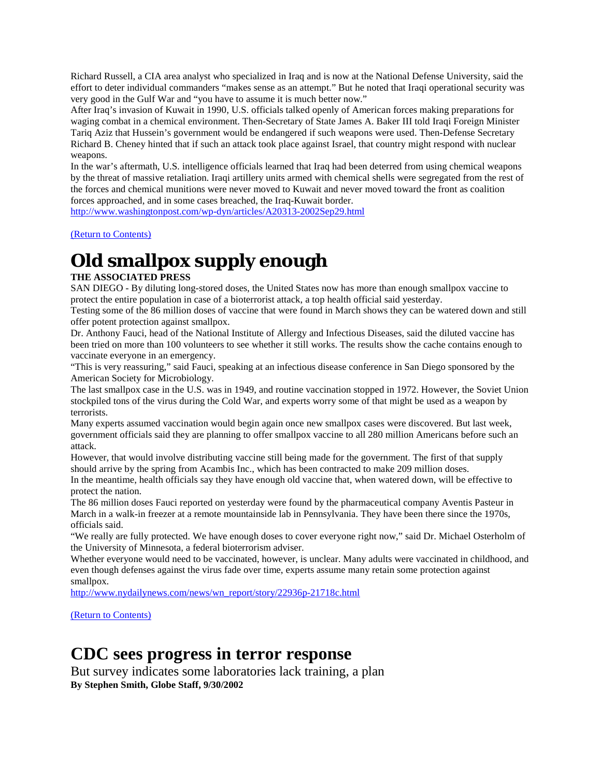Richard Russell, a CIA area analyst who specialized in Iraq and is now at the National Defense University, said the effort to deter individual commanders "makes sense as an attempt." But he noted that Iraqi operational security was very good in the Gulf War and "you have to assume it is much better now."

After Iraq's invasion of Kuwait in 1990, U.S. officials talked openly of American forces making preparations for waging combat in a chemical environment. Then-Secretary of State James A. Baker III told Iraqi Foreign Minister Tariq Aziz that Hussein's government would be endangered if such weapons were used. Then-Defense Secretary Richard B. Cheney hinted that if such an attack took place against Israel, that country might respond with nuclear weapons.

In the war's aftermath, U.S. intelligence officials learned that Iraq had been deterred from using chemical weapons by the threat of massive retaliation. Iraqi artillery units armed with chemical shells were segregated from the rest of the forces and chemical munitions were never moved to Kuwait and never moved toward the front as coalition forces approached, and in some cases breached, the Iraq-Kuwait border.

<http://www.washingtonpost.com/wp-dyn/articles/A20313-2002Sep29.html>

[\(Return to Contents\)](#page-0-0)

# <span id="page-2-0"></span>**Old smallpox supply enough**

#### **THE ASSOCIATED PRESS**

SAN DIEGO - By diluting long-stored doses, the United States now has more than enough smallpox vaccine to protect the entire population in case of a bioterrorist attack, a top health official said yesterday.

Testing some of the 86 million doses of vaccine that were found in March shows they can be watered down and still offer potent protection against smallpox.

Dr. Anthony Fauci, head of the National Institute of Allergy and Infectious Diseases, said the diluted vaccine has been tried on more than 100 volunteers to see whether it still works. The results show the cache contains enough to vaccinate everyone in an emergency.

"This is very reassuring," said Fauci, speaking at an infectious disease conference in San Diego sponsored by the American Society for Microbiology.

The last smallpox case in the U.S. was in 1949, and routine vaccination stopped in 1972. However, the Soviet Union stockpiled tons of the virus during the Cold War, and experts worry some of that might be used as a weapon by terrorists.

Many experts assumed vaccination would begin again once new smallpox cases were discovered. But last week, government officials said they are planning to offer smallpox vaccine to all 280 million Americans before such an attack.

However, that would involve distributing vaccine still being made for the government. The first of that supply should arrive by the spring from Acambis Inc., which has been contracted to make 209 million doses.

In the meantime, health officials say they have enough old vaccine that, when watered down, will be effective to protect the nation.

The 86 million doses Fauci reported on yesterday were found by the pharmaceutical company Aventis Pasteur in March in a walk-in freezer at a remote mountainside lab in Pennsylvania. They have been there since the 1970s, officials said.

"We really are fully protected. We have enough doses to cover everyone right now," said Dr. Michael Osterholm of the University of Minnesota, a federal bioterrorism adviser.

Whether everyone would need to be vaccinated, however, is unclear. Many adults were vaccinated in childhood, and even though defenses against the virus fade over time, experts assume many retain some protection against smallpox.

[http://www.nydailynews.com/news/wn\\_report/story/22936p-21718c.html](http://www.nydailynews.com/news/wn_report/story/22936p-21718c.html)

[\(Return to Contents\)](#page-0-0)

### <span id="page-2-1"></span>**CDC sees progress in terror response**

But survey indicates some laboratories lack training, a plan **By Stephen Smith, Globe Staff, 9/30/2002**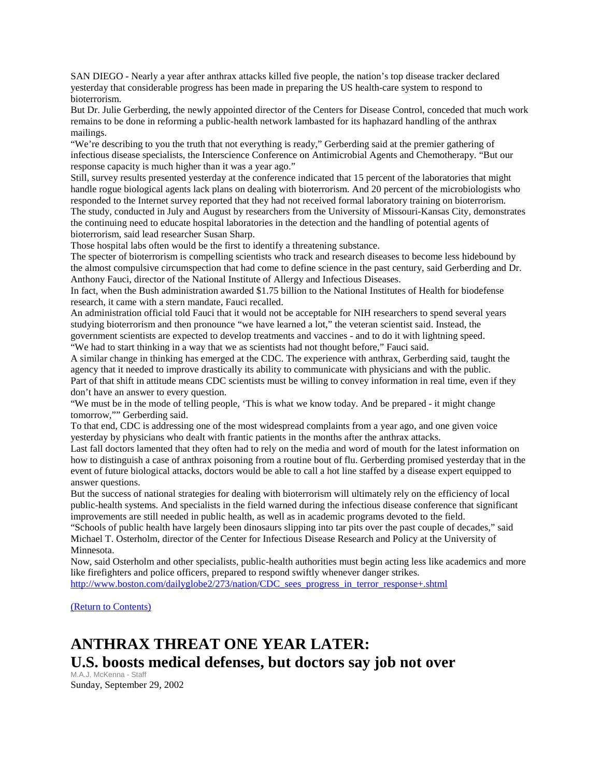SAN DIEGO - Nearly a year after anthrax attacks killed five people, the nation's top disease tracker declared yesterday that considerable progress has been made in preparing the US health-care system to respond to bioterrorism.

But Dr. Julie Gerberding, the newly appointed director of the Centers for Disease Control, conceded that much work remains to be done in reforming a public-health network lambasted for its haphazard handling of the anthrax mailings.

"We're describing to you the truth that not everything is ready," Gerberding said at the premier gathering of infectious disease specialists, the Interscience Conference on Antimicrobial Agents and Chemotherapy. "But our response capacity is much higher than it was a year ago."

Still, survey results presented yesterday at the conference indicated that 15 percent of the laboratories that might handle rogue biological agents lack plans on dealing with bioterrorism. And 20 percent of the microbiologists who responded to the Internet survey reported that they had not received formal laboratory training on bioterrorism. The study, conducted in July and August by researchers from the University of Missouri-Kansas City, demonstrates the continuing need to educate hospital laboratories in the detection and the handling of potential agents of bioterrorism, said lead researcher Susan Sharp.

Those hospital labs often would be the first to identify a threatening substance.

The specter of bioterrorism is compelling scientists who track and research diseases to become less hidebound by the almost compulsive circumspection that had come to define science in the past century, said Gerberding and Dr. Anthony Fauci, director of the National Institute of Allergy and Infectious Diseases.

In fact, when the Bush administration awarded \$1.75 billion to the National Institutes of Health for biodefense research, it came with a stern mandate, Fauci recalled.

An administration official told Fauci that it would not be acceptable for NIH researchers to spend several years studying bioterrorism and then pronounce "we have learned a lot," the veteran scientist said. Instead, the government scientists are expected to develop treatments and vaccines - and to do it with lightning speed. "We had to start thinking in a way that we as scientists had not thought before," Fauci said.

A similar change in thinking has emerged at the CDC. The experience with anthrax, Gerberding said, taught the agency that it needed to improve drastically its ability to communicate with physicians and with the public. Part of that shift in attitude means CDC scientists must be willing to convey information in real time, even if they don't have an answer to every question.

"We must be in the mode of telling people, 'This is what we know today. And be prepared - it might change tomorrow,"" Gerberding said.

To that end, CDC is addressing one of the most widespread complaints from a year ago, and one given voice yesterday by physicians who dealt with frantic patients in the months after the anthrax attacks.

Last fall doctors lamented that they often had to rely on the media and word of mouth for the latest information on how to distinguish a case of anthrax poisoning from a routine bout of flu. Gerberding promised yesterday that in the event of future biological attacks, doctors would be able to call a hot line staffed by a disease expert equipped to answer questions.

But the success of national strategies for dealing with bioterrorism will ultimately rely on the efficiency of local public-health systems. And specialists in the field warned during the infectious disease conference that significant improvements are still needed in public health, as well as in academic programs devoted to the field.

"Schools of public health have largely been dinosaurs slipping into tar pits over the past couple of decades," said Michael T. Osterholm, director of the Center for Infectious Disease Research and Policy at the University of Minnesota.

Now, said Osterholm and other specialists, public-health authorities must begin acting less like academics and more like firefighters and police officers, prepared to respond swiftly whenever danger strikes. [http://www.boston.com/dailyglobe2/273/nation/CDC\\_sees\\_progress\\_in\\_terror\\_response+.shtml](http://www.boston.com/dailyglobe2/273/nation/CDC_sees_progress_in_terror_response+.shtml)

[\(Return to Contents\)](#page-0-0)

## <span id="page-3-0"></span>**ANTHRAX THREAT ONE YEAR LATER: U.S. boosts medical defenses, but doctors say job not over**

M.A.J. McKenna - Staff Sunday, September 29, 2002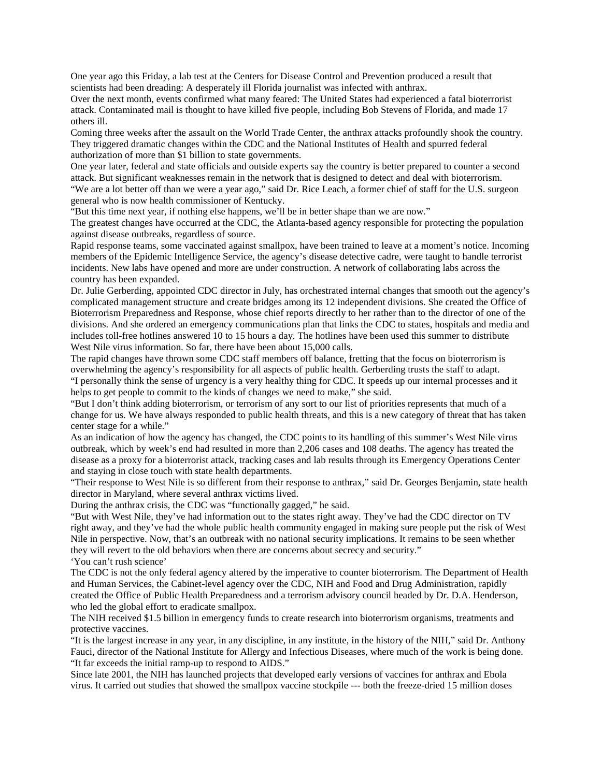One year ago this Friday, a lab test at the Centers for Disease Control and Prevention produced a result that scientists had been dreading: A desperately ill Florida journalist was infected with anthrax.

Over the next month, events confirmed what many feared: The United States had experienced a fatal bioterrorist attack. Contaminated mail is thought to have killed five people, including Bob Stevens of Florida, and made 17 others ill.

Coming three weeks after the assault on the World Trade Center, the anthrax attacks profoundly shook the country. They triggered dramatic changes within the CDC and the National Institutes of Health and spurred federal authorization of more than \$1 billion to state governments.

One year later, federal and state officials and outside experts say the country is better prepared to counter a second attack. But significant weaknesses remain in the network that is designed to detect and deal with bioterrorism. "We are a lot better off than we were a year ago," said Dr. Rice Leach, a former chief of staff for the U.S. surgeon general who is now health commissioner of Kentucky.

"But this time next year, if nothing else happens, we'll be in better shape than we are now."

The greatest changes have occurred at the CDC, the Atlanta-based agency responsible for protecting the population against disease outbreaks, regardless of source.

Rapid response teams, some vaccinated against smallpox, have been trained to leave at a moment's notice. Incoming members of the Epidemic Intelligence Service, the agency's disease detective cadre, were taught to handle terrorist incidents. New labs have opened and more are under construction. A network of collaborating labs across the country has been expanded.

Dr. Julie Gerberding, appointed CDC director in July, has orchestrated internal changes that smooth out the agency's complicated management structure and create bridges among its 12 independent divisions. She created the Office of Bioterrorism Preparedness and Response, whose chief reports directly to her rather than to the director of one of the divisions. And she ordered an emergency communications plan that links the CDC to states, hospitals and media and includes toll-free hotlines answered 10 to 15 hours a day. The hotlines have been used this summer to distribute West Nile virus information. So far, there have been about 15,000 calls.

The rapid changes have thrown some CDC staff members off balance, fretting that the focus on bioterrorism is overwhelming the agency's responsibility for all aspects of public health. Gerberding trusts the staff to adapt. "I personally think the sense of urgency is a very healthy thing for CDC. It speeds up our internal processes and it

helps to get people to commit to the kinds of changes we need to make," she said. "But I don't think adding bioterrorism, or terrorism of any sort to our list of priorities represents that much of a change for us. We have always responded to public health threats, and this is a new category of threat that has taken

center stage for a while." As an indication of how the agency has changed, the CDC points to its handling of this summer's West Nile virus outbreak, which by week's end had resulted in more than 2,206 cases and 108 deaths. The agency has treated the disease as a proxy for a bioterrorist attack, tracking cases and lab results through its Emergency Operations Center and staying in close touch with state health departments.

"Their response to West Nile is so different from their response to anthrax," said Dr. Georges Benjamin, state health director in Maryland, where several anthrax victims lived.

During the anthrax crisis, the CDC was "functionally gagged," he said.

"But with West Nile, they've had information out to the states right away. They've had the CDC director on TV right away, and they've had the whole public health community engaged in making sure people put the risk of West Nile in perspective. Now, that's an outbreak with no national security implications. It remains to be seen whether they will revert to the old behaviors when there are concerns about secrecy and security." 'You can't rush science'

The CDC is not the only federal agency altered by the imperative to counter bioterrorism. The Department of Health and Human Services, the Cabinet-level agency over the CDC, NIH and Food and Drug Administration, rapidly created the Office of Public Health Preparedness and a terrorism advisory council headed by Dr. D.A. Henderson, who led the global effort to eradicate smallpox.

The NIH received \$1.5 billion in emergency funds to create research into bioterrorism organisms, treatments and protective vaccines.

"It is the largest increase in any year, in any discipline, in any institute, in the history of the NIH," said Dr. Anthony Fauci, director of the National Institute for Allergy and Infectious Diseases, where much of the work is being done. "It far exceeds the initial ramp-up to respond to AIDS."

Since late 2001, the NIH has launched projects that developed early versions of vaccines for anthrax and Ebola virus. It carried out studies that showed the smallpox vaccine stockpile --- both the freeze-dried 15 million doses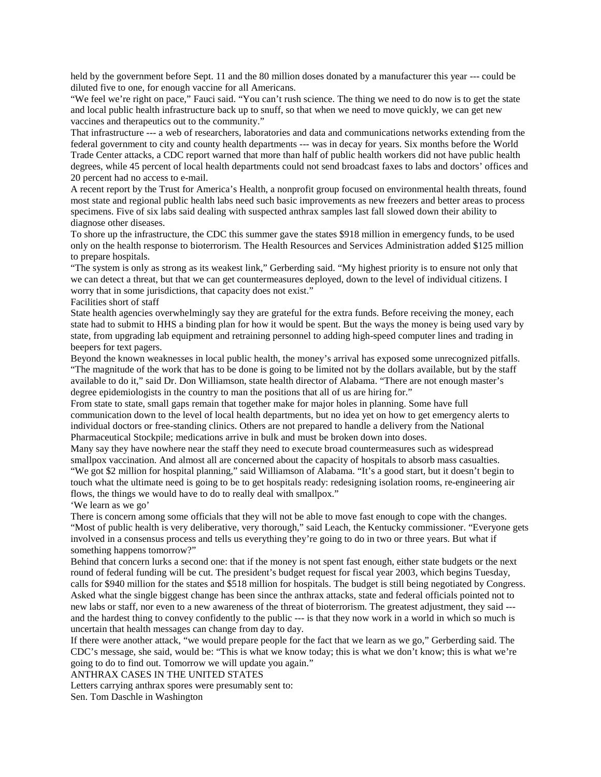held by the government before Sept. 11 and the 80 million doses donated by a manufacturer this year --- could be diluted five to one, for enough vaccine for all Americans.

"We feel we're right on pace," Fauci said. "You can't rush science. The thing we need to do now is to get the state and local public health infrastructure back up to snuff, so that when we need to move quickly, we can get new vaccines and therapeutics out to the community."

That infrastructure --- a web of researchers, laboratories and data and communications networks extending from the federal government to city and county health departments --- was in decay for years. Six months before the World Trade Center attacks, a CDC report warned that more than half of public health workers did not have public health degrees, while 45 percent of local health departments could not send broadcast faxes to labs and doctors' offices and 20 percent had no access to e-mail.

A recent report by the Trust for America's Health, a nonprofit group focused on environmental health threats, found most state and regional public health labs need such basic improvements as new freezers and better areas to process specimens. Five of six labs said dealing with suspected anthrax samples last fall slowed down their ability to diagnose other diseases.

To shore up the infrastructure, the CDC this summer gave the states \$918 million in emergency funds, to be used only on the health response to bioterrorism. The Health Resources and Services Administration added \$125 million to prepare hospitals.

"The system is only as strong as its weakest link," Gerberding said. "My highest priority is to ensure not only that we can detect a threat, but that we can get countermeasures deployed, down to the level of individual citizens. I worry that in some jurisdictions, that capacity does not exist."

Facilities short of staff

State health agencies overwhelmingly say they are grateful for the extra funds. Before receiving the money, each state had to submit to HHS a binding plan for how it would be spent. But the ways the money is being used vary by state, from upgrading lab equipment and retraining personnel to adding high-speed computer lines and trading in beepers for text pagers.

Beyond the known weaknesses in local public health, the money's arrival has exposed some unrecognized pitfalls. "The magnitude of the work that has to be done is going to be limited not by the dollars available, but by the staff available to do it," said Dr. Don Williamson, state health director of Alabama. "There are not enough master's degree epidemiologists in the country to man the positions that all of us are hiring for."

From state to state, small gaps remain that together make for major holes in planning. Some have full communication down to the level of local health departments, but no idea yet on how to get emergency alerts to individual doctors or free-standing clinics. Others are not prepared to handle a delivery from the National Pharmaceutical Stockpile; medications arrive in bulk and must be broken down into doses.

Many say they have nowhere near the staff they need to execute broad countermeasures such as widespread smallpox vaccination. And almost all are concerned about the capacity of hospitals to absorb mass casualties. "We got \$2 million for hospital planning," said Williamson of Alabama. "It's a good start, but it doesn't begin to touch what the ultimate need is going to be to get hospitals ready: redesigning isolation rooms, re-engineering air flows, the things we would have to do to really deal with smallpox."

'We learn as we go'

There is concern among some officials that they will not be able to move fast enough to cope with the changes. "Most of public health is very deliberative, very thorough," said Leach, the Kentucky commissioner. "Everyone gets involved in a consensus process and tells us everything they're going to do in two or three years. But what if something happens tomorrow?"

Behind that concern lurks a second one: that if the money is not spent fast enough, either state budgets or the next round of federal funding will be cut. The president's budget request for fiscal year 2003, which begins Tuesday, calls for \$940 million for the states and \$518 million for hospitals. The budget is still being negotiated by Congress. Asked what the single biggest change has been since the anthrax attacks, state and federal officials pointed not to new labs or staff, nor even to a new awareness of the threat of bioterrorism. The greatest adjustment, they said -- and the hardest thing to convey confidently to the public --- is that they now work in a world in which so much is uncertain that health messages can change from day to day.

If there were another attack, "we would prepare people for the fact that we learn as we go," Gerberding said. The CDC's message, she said, would be: "This is what we know today; this is what we don't know; this is what we're going to do to find out. Tomorrow we will update you again."

ANTHRAX CASES IN THE UNITED STATES

Letters carrying anthrax spores were presumably sent to:

Sen. Tom Daschle in Washington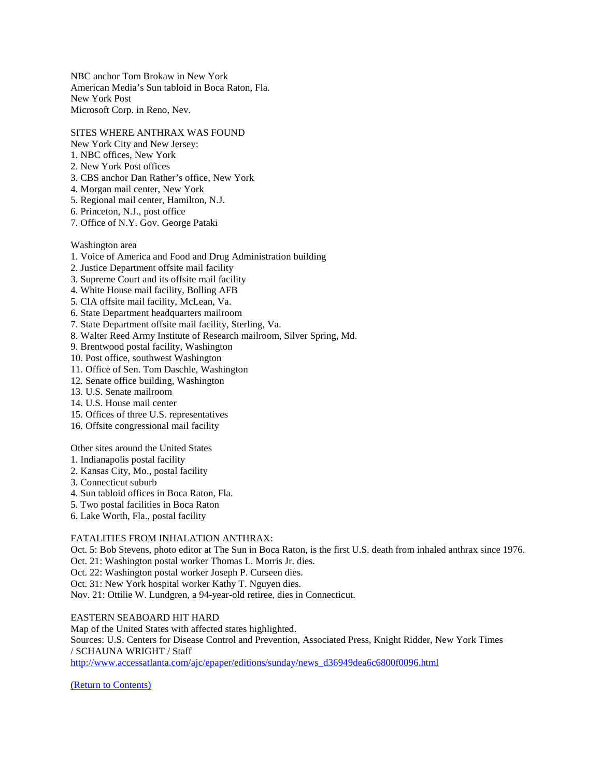NBC anchor Tom Brokaw in New York American Media's Sun tabloid in Boca Raton, Fla. New York Post Microsoft Corp. in Reno, Nev.

#### SITES WHERE ANTHRAX WAS FOUND

- New York City and New Jersey:
- 1. NBC offices, New York
- 2. New York Post offices
- 3. CBS anchor Dan Rather's office, New York
- 4. Morgan mail center, New York
- 5. Regional mail center, Hamilton, N.J.
- 6. Princeton, N.J., post office
- 7. Office of N.Y. Gov. George Pataki

Washington area

- 1. Voice of America and Food and Drug Administration building
- 2. Justice Department offsite mail facility
- 3. Supreme Court and its offsite mail facility
- 4. White House mail facility, Bolling AFB
- 5. CIA offsite mail facility, McLean, Va.
- 6. State Department headquarters mailroom
- 7. State Department offsite mail facility, Sterling, Va.
- 8. Walter Reed Army Institute of Research mailroom, Silver Spring, Md.
- 9. Brentwood postal facility, Washington
- 10. Post office, southwest Washington
- 11. Office of Sen. Tom Daschle, Washington
- 12. Senate office building, Washington
- 13. U.S. Senate mailroom
- 14. U.S. House mail center
- 15. Offices of three U.S. representatives
- 16. Offsite congressional mail facility

Other sites around the United States

- 1. Indianapolis postal facility
- 2. Kansas City, Mo., postal facility
- 3. Connecticut suburb
- 4. Sun tabloid offices in Boca Raton, Fla.
- 5. Two postal facilities in Boca Raton
- 6. Lake Worth, Fla., postal facility

#### FATALITIES FROM INHALATION ANTHRAX:

Oct. 5: Bob Stevens, photo editor at The Sun in Boca Raton, is the first U.S. death from inhaled anthrax since 1976. Oct. 21: Washington postal worker Thomas L. Morris Jr. dies.

Oct. 22: Washington postal worker Joseph P. Curseen dies.

Oct. 31: New York hospital worker Kathy T. Nguyen dies.

Nov. 21: Ottilie W. Lundgren, a 94-year-old retiree, dies in Connecticut.

#### EASTERN SEABOARD HIT HARD

Map of the United States with affected states highlighted. Sources: U.S. Centers for Disease Control and Prevention, Associated Press, Knight Ridder, New York Times / SCHAUNA WRIGHT / Staff [http://www.accessatlanta.com/ajc/epaper/editions/sunday/news\\_d36949dea6c6800f0096.html](http://www.accessatlanta.com/ajc/epaper/editions/sunday/news_d36949dea6c6800f0096.html)

[\(Return to Contents\)](#page-0-0)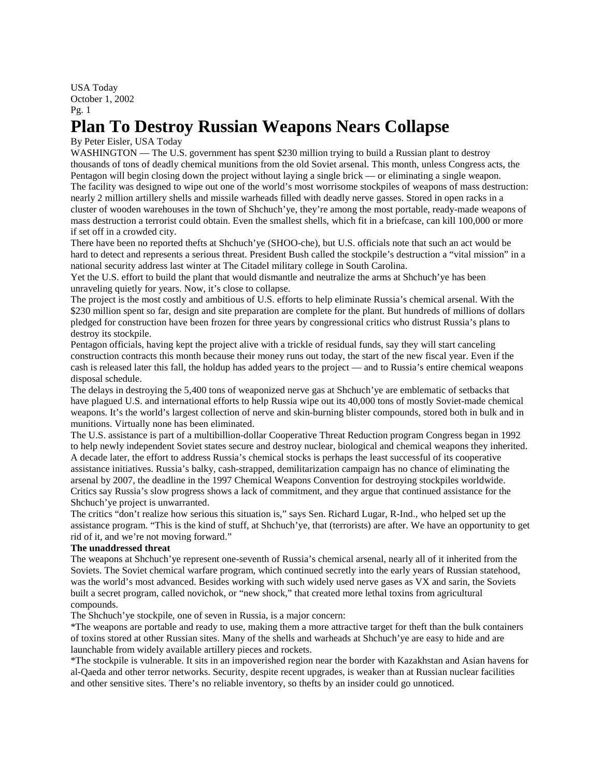USA Today October 1, 2002 Pg. 1

### <span id="page-7-0"></span>**Plan To Destroy Russian Weapons Nears Collapse**

#### By Peter Eisler, USA Today

WASHINGTON — The U.S. government has spent \$230 million trying to build a Russian plant to destroy thousands of tons of deadly chemical munitions from the old Soviet arsenal. This month, unless Congress acts, the Pentagon will begin closing down the project without laying a single brick — or eliminating a single weapon. The facility was designed to wipe out one of the world's most worrisome stockpiles of weapons of mass destruction: nearly 2 million artillery shells and missile warheads filled with deadly nerve gasses. Stored in open racks in a cluster of wooden warehouses in the town of Shchuch'ye, they're among the most portable, ready-made weapons of mass destruction a terrorist could obtain. Even the smallest shells, which fit in a briefcase, can kill 100,000 or more if set off in a crowded city.

There have been no reported thefts at Shchuch'ye (SHOO-che), but U.S. officials note that such an act would be hard to detect and represents a serious threat. President Bush called the stockpile's destruction a "vital mission" in a national security address last winter at The Citadel military college in South Carolina.

Yet the U.S. effort to build the plant that would dismantle and neutralize the arms at Shchuch'ye has been unraveling quietly for years. Now, it's close to collapse.

The project is the most costly and ambitious of U.S. efforts to help eliminate Russia's chemical arsenal. With the \$230 million spent so far, design and site preparation are complete for the plant. But hundreds of millions of dollars pledged for construction have been frozen for three years by congressional critics who distrust Russia's plans to destroy its stockpile.

Pentagon officials, having kept the project alive with a trickle of residual funds, say they will start canceling construction contracts this month because their money runs out today, the start of the new fiscal year. Even if the cash is released later this fall, the holdup has added years to the project — and to Russia's entire chemical weapons disposal schedule.

The delays in destroying the 5,400 tons of weaponized nerve gas at Shchuch'ye are emblematic of setbacks that have plagued U.S. and international efforts to help Russia wipe out its 40,000 tons of mostly Soviet-made chemical weapons. It's the world's largest collection of nerve and skin-burning blister compounds, stored both in bulk and in munitions. Virtually none has been eliminated.

The U.S. assistance is part of a multibillion-dollar Cooperative Threat Reduction program Congress began in 1992 to help newly independent Soviet states secure and destroy nuclear, biological and chemical weapons they inherited. A decade later, the effort to address Russia's chemical stocks is perhaps the least successful of its cooperative assistance initiatives. Russia's balky, cash-strapped, demilitarization campaign has no chance of eliminating the arsenal by 2007, the deadline in the 1997 Chemical Weapons Convention for destroying stockpiles worldwide. Critics say Russia's slow progress shows a lack of commitment, and they argue that continued assistance for the Shchuch'ye project is unwarranted.

The critics "don't realize how serious this situation is," says Sen. Richard Lugar, R-Ind., who helped set up the assistance program. "This is the kind of stuff, at Shchuch'ye, that (terrorists) are after. We have an opportunity to get rid of it, and we're not moving forward."

#### **The unaddressed threat**

The weapons at Shchuch'ye represent one-seventh of Russia's chemical arsenal, nearly all of it inherited from the Soviets. The Soviet chemical warfare program, which continued secretly into the early years of Russian statehood, was the world's most advanced. Besides working with such widely used nerve gases as VX and sarin, the Soviets built a secret program, called novichok, or "new shock," that created more lethal toxins from agricultural compounds.

The Shchuch'ye stockpile, one of seven in Russia, is a major concern:

\*The weapons are portable and ready to use, making them a more attractive target for theft than the bulk containers of toxins stored at other Russian sites. Many of the shells and warheads at Shchuch'ye are easy to hide and are launchable from widely available artillery pieces and rockets.

\*The stockpile is vulnerable. It sits in an impoverished region near the border with Kazakhstan and Asian havens for al-Qaeda and other terror networks. Security, despite recent upgrades, is weaker than at Russian nuclear facilities and other sensitive sites. There's no reliable inventory, so thefts by an insider could go unnoticed.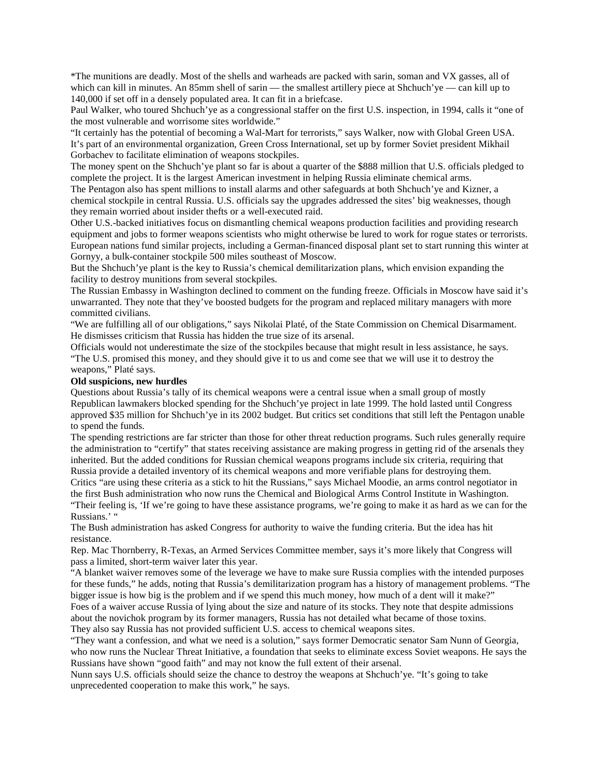\*The munitions are deadly. Most of the shells and warheads are packed with sarin, soman and VX gasses, all of which can kill in minutes. An 85mm shell of sarin — the smallest artillery piece at Shchuch'ye — can kill up to 140,000 if set off in a densely populated area. It can fit in a briefcase.

Paul Walker, who toured Shchuch'ye as a congressional staffer on the first U.S. inspection, in 1994, calls it "one of the most vulnerable and worrisome sites worldwide."

"It certainly has the potential of becoming a Wal-Mart for terrorists," says Walker, now with Global Green USA. It's part of an environmental organization, Green Cross International, set up by former Soviet president Mikhail Gorbachev to facilitate elimination of weapons stockpiles.

The money spent on the Shchuch'ye plant so far is about a quarter of the \$888 million that U.S. officials pledged to complete the project. It is the largest American investment in helping Russia eliminate chemical arms.

The Pentagon also has spent millions to install alarms and other safeguards at both Shchuch'ye and Kizner, a chemical stockpile in central Russia. U.S. officials say the upgrades addressed the sites' big weaknesses, though they remain worried about insider thefts or a well-executed raid.

Other U.S.-backed initiatives focus on dismantling chemical weapons production facilities and providing research equipment and jobs to former weapons scientists who might otherwise be lured to work for rogue states or terrorists. European nations fund similar projects, including a German-financed disposal plant set to start running this winter at Gornyy, a bulk-container stockpile 500 miles southeast of Moscow.

But the Shchuch'ye plant is the key to Russia's chemical demilitarization plans, which envision expanding the facility to destroy munitions from several stockpiles.

The Russian Embassy in Washington declined to comment on the funding freeze. Officials in Moscow have said it's unwarranted. They note that they've boosted budgets for the program and replaced military managers with more committed civilians.

"We are fulfilling all of our obligations," says Nikolai Platé, of the State Commission on Chemical Disarmament. He dismisses criticism that Russia has hidden the true size of its arsenal.

Officials would not underestimate the size of the stockpiles because that might result in less assistance, he says. "The U.S. promised this money, and they should give it to us and come see that we will use it to destroy the weapons," Platé says.

#### **Old suspicions, new hurdles**

Questions about Russia's tally of its chemical weapons were a central issue when a small group of mostly Republican lawmakers blocked spending for the Shchuch'ye project in late 1999. The hold lasted until Congress approved \$35 million for Shchuch'ye in its 2002 budget. But critics set conditions that still left the Pentagon unable to spend the funds.

The spending restrictions are far stricter than those for other threat reduction programs. Such rules generally require the administration to "certify" that states receiving assistance are making progress in getting rid of the arsenals they inherited. But the added conditions for Russian chemical weapons programs include six criteria, requiring that Russia provide a detailed inventory of its chemical weapons and more verifiable plans for destroying them.

Critics "are using these criteria as a stick to hit the Russians," says Michael Moodie, an arms control negotiator in the first Bush administration who now runs the Chemical and Biological Arms Control Institute in Washington. "Their feeling is, 'If we're going to have these assistance programs, we're going to make it as hard as we can for the Russians.' "

The Bush administration has asked Congress for authority to waive the funding criteria. But the idea has hit resistance.

Rep. Mac Thornberry, R-Texas, an Armed Services Committee member, says it's more likely that Congress will pass a limited, short-term waiver later this year.

"A blanket waiver removes some of the leverage we have to make sure Russia complies with the intended purposes for these funds," he adds, noting that Russia's demilitarization program has a history of management problems. "The bigger issue is how big is the problem and if we spend this much money, how much of a dent will it make?" Foes of a waiver accuse Russia of lying about the size and nature of its stocks. They note that despite admissions about the novichok program by its former managers, Russia has not detailed what became of those toxins. They also say Russia has not provided sufficient U.S. access to chemical weapons sites.

"They want a confession, and what we need is a solution," says former Democratic senator Sam Nunn of Georgia, who now runs the Nuclear Threat Initiative, a foundation that seeks to eliminate excess Soviet weapons. He says the Russians have shown "good faith" and may not know the full extent of their arsenal.

Nunn says U.S. officials should seize the chance to destroy the weapons at Shchuch'ye. "It's going to take unprecedented cooperation to make this work," he says.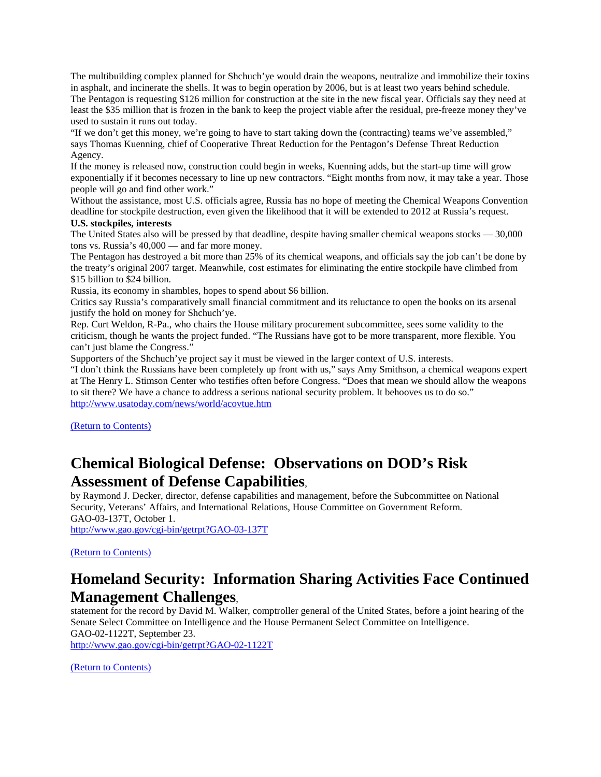The multibuilding complex planned for Shchuch'ye would drain the weapons, neutralize and immobilize their toxins in asphalt, and incinerate the shells. It was to begin operation by 2006, but is at least two years behind schedule. The Pentagon is requesting \$126 million for construction at the site in the new fiscal year. Officials say they need at least the \$35 million that is frozen in the bank to keep the project viable after the residual, pre-freeze money they've used to sustain it runs out today.

"If we don't get this money, we're going to have to start taking down the (contracting) teams we've assembled," says Thomas Kuenning, chief of Cooperative Threat Reduction for the Pentagon's Defense Threat Reduction Agency.

If the money is released now, construction could begin in weeks, Kuenning adds, but the start-up time will grow exponentially if it becomes necessary to line up new contractors. "Eight months from now, it may take a year. Those people will go and find other work."

Without the assistance, most U.S. officials agree, Russia has no hope of meeting the Chemical Weapons Convention deadline for stockpile destruction, even given the likelihood that it will be extended to 2012 at Russia's request.

#### **U.S. stockpiles, interests**

The United States also will be pressed by that deadline, despite having smaller chemical weapons stocks — 30,000 tons vs. Russia's 40,000 — and far more money.

The Pentagon has destroyed a bit more than 25% of its chemical weapons, and officials say the job can't be done by the treaty's original 2007 target. Meanwhile, cost estimates for eliminating the entire stockpile have climbed from \$15 billion to \$24 billion.

Russia, its economy in shambles, hopes to spend about \$6 billion.

Critics say Russia's comparatively small financial commitment and its reluctance to open the books on its arsenal justify the hold on money for Shchuch'ye.

Rep. Curt Weldon, R-Pa., who chairs the House military procurement subcommittee, sees some validity to the criticism, though he wants the project funded. "The Russians have got to be more transparent, more flexible. You can't just blame the Congress."

Supporters of the Shchuch'ye project say it must be viewed in the larger context of U.S. interests.

"I don't think the Russians have been completely up front with us," says Amy Smithson, a chemical weapons expert at The Henry L. Stimson Center who testifies often before Congress. "Does that mean we should allow the weapons to sit there? We have a chance to address a serious national security problem. It behooves us to do so." <http://www.usatoday.com/news/world/acovtue.htm>

[\(Return to Contents\)](#page-0-0)

### <span id="page-9-0"></span>**Chemical Biological Defense: Observations on DOD's Risk Assessment of Defense Capabilities**,

by Raymond J. Decker, director, defense capabilities and management, before the Subcommittee on National Security, Veterans' Affairs, and International Relations, House Committee on Government Reform. GAO-03-137T, October 1. <http://www.gao.gov/cgi-bin/getrpt?GAO-03-137T>

[\(Return to Contents\)](#page-0-0)

### <span id="page-9-1"></span>**Homeland Security: Information Sharing Activities Face Continued Management Challenges**,

statement for the record by David M. Walker, comptroller general of the United States, before a joint hearing of the Senate Select Committee on Intelligence and the House Permanent Select Committee on Intelligence. GAO-02-1122T, September 23.

<http://www.gao.gov/cgi-bin/getrpt?GAO-02-1122T>

[\(Return to Contents\)](#page-0-0)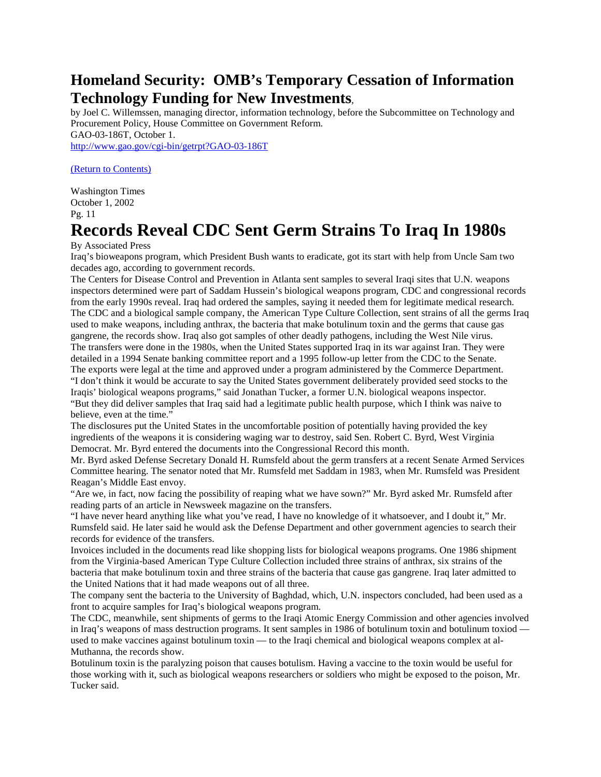### <span id="page-10-0"></span>**Homeland Security: OMB's Temporary Cessation of Information Technology Funding for New Investments**,

by Joel C. Willemssen, managing director, information technology, before the Subcommittee on Technology and Procurement Policy, House Committee on Government Reform. GAO-03-186T, October 1.

<http://www.gao.gov/cgi-bin/getrpt?GAO-03-186T>

[\(Return to Contents\)](#page-0-0)

Washington Times October 1, 2002 Pg. 11

## <span id="page-10-1"></span>**Records Reveal CDC Sent Germ Strains To Iraq In 1980s**

By Associated Press

Iraq's bioweapons program, which President Bush wants to eradicate, got its start with help from Uncle Sam two decades ago, according to government records.

The Centers for Disease Control and Prevention in Atlanta sent samples to several Iraqi sites that U.N. weapons inspectors determined were part of Saddam Hussein's biological weapons program, CDC and congressional records from the early 1990s reveal. Iraq had ordered the samples, saying it needed them for legitimate medical research. The CDC and a biological sample company, the American Type Culture Collection, sent strains of all the germs Iraq used to make weapons, including anthrax, the bacteria that make botulinum toxin and the germs that cause gas gangrene, the records show. Iraq also got samples of other deadly pathogens, including the West Nile virus. The transfers were done in the 1980s, when the United States supported Iraq in its war against Iran. They were detailed in a 1994 Senate banking committee report and a 1995 follow-up letter from the CDC to the Senate. The exports were legal at the time and approved under a program administered by the Commerce Department.

"I don't think it would be accurate to say the United States government deliberately provided seed stocks to the Iraqis' biological weapons programs," said Jonathan Tucker, a former U.N. biological weapons inspector. "But they did deliver samples that Iraq said had a legitimate public health purpose, which I think was naive to believe, even at the time."

The disclosures put the United States in the uncomfortable position of potentially having provided the key ingredients of the weapons it is considering waging war to destroy, said Sen. Robert C. Byrd, West Virginia Democrat. Mr. Byrd entered the documents into the Congressional Record this month.

Mr. Byrd asked Defense Secretary Donald H. Rumsfeld about the germ transfers at a recent Senate Armed Services Committee hearing. The senator noted that Mr. Rumsfeld met Saddam in 1983, when Mr. Rumsfeld was President Reagan's Middle East envoy.

"Are we, in fact, now facing the possibility of reaping what we have sown?" Mr. Byrd asked Mr. Rumsfeld after reading parts of an article in Newsweek magazine on the transfers.

"I have never heard anything like what you've read, I have no knowledge of it whatsoever, and I doubt it," Mr. Rumsfeld said. He later said he would ask the Defense Department and other government agencies to search their records for evidence of the transfers.

Invoices included in the documents read like shopping lists for biological weapons programs. One 1986 shipment from the Virginia-based American Type Culture Collection included three strains of anthrax, six strains of the bacteria that make botulinum toxin and three strains of the bacteria that cause gas gangrene. Iraq later admitted to the United Nations that it had made weapons out of all three.

The company sent the bacteria to the University of Baghdad, which, U.N. inspectors concluded, had been used as a front to acquire samples for Iraq's biological weapons program.

The CDC, meanwhile, sent shipments of germs to the Iraqi Atomic Energy Commission and other agencies involved in Iraq's weapons of mass destruction programs. It sent samples in 1986 of botulinum toxin and botulinum toxiod used to make vaccines against botulinum toxin — to the Iraqi chemical and biological weapons complex at al-Muthanna, the records show.

Botulinum toxin is the paralyzing poison that causes botulism. Having a vaccine to the toxin would be useful for those working with it, such as biological weapons researchers or soldiers who might be exposed to the poison, Mr. Tucker said.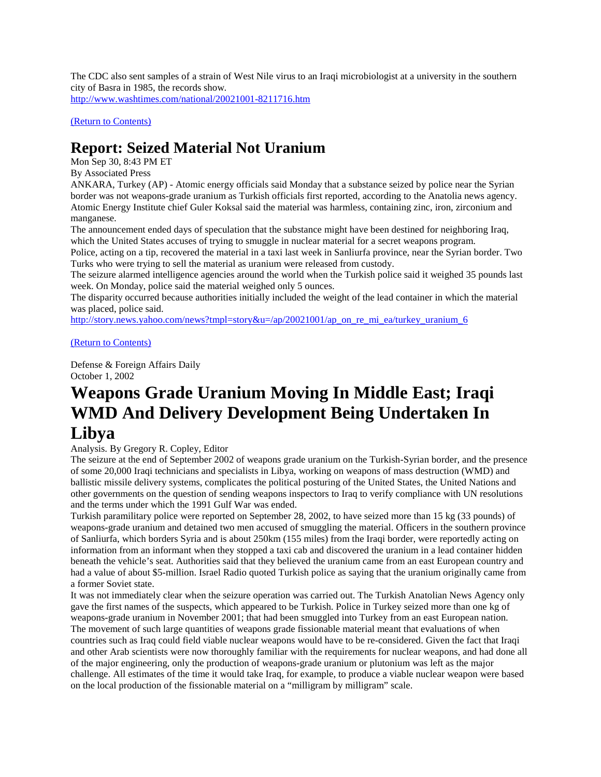The CDC also sent samples of a strain of West Nile virus to an Iraqi microbiologist at a university in the southern city of Basra in 1985, the records show. <http://www.washtimes.com/national/20021001-8211716.htm>

[\(Return to Contents\)](#page-0-0)

### <span id="page-11-0"></span>**Report: Seized Material Not Uranium**

Mon Sep 30, 8:43 PM ET

#### By Associated Press

ANKARA, Turkey (AP) - Atomic energy officials said Monday that a substance seized by police near the Syrian border was not weapons-grade uranium as Turkish officials first reported, according to the Anatolia news agency. Atomic Energy Institute chief Guler Koksal said the material was harmless, containing zinc, iron, zirconium and manganese.

The announcement ended days of speculation that the substance might have been destined for neighboring Iraq, which the United States accuses of trying to smuggle in nuclear material for a secret weapons program.

Police, acting on a tip, recovered the material in a taxi last week in Sanliurfa province, near the Syrian border. Two Turks who were trying to sell the material as uranium were released from custody.

The seizure alarmed intelligence agencies around the world when the Turkish police said it weighed 35 pounds last week. On Monday, police said the material weighed only 5 ounces.

The disparity occurred because authorities initially included the weight of the lead container in which the material was placed, police said.

[http://story.news.yahoo.com/news?tmpl=story&u=/ap/20021001/ap\\_on\\_re\\_mi\\_ea/turkey\\_uranium\\_6](http://story.news.yahoo.com/news?tmpl=story&u=/ap/20021001/ap_on_re_mi_ea/turkey_uranium_6)

#### [\(Return to Contents\)](#page-0-0)

Defense & Foreign Affairs Daily October 1, 2002

# <span id="page-11-1"></span>**Weapons Grade Uranium Moving In Middle East; Iraqi WMD And Delivery Development Being Undertaken In**

### **Libya**

#### Analysis. By Gregory R. Copley, Editor

The seizure at the end of September 2002 of weapons grade uranium on the Turkish-Syrian border, and the presence of some 20,000 Iraqi technicians and specialists in Libya, working on weapons of mass destruction (WMD) and ballistic missile delivery systems, complicates the political posturing of the United States, the United Nations and other governments on the question of sending weapons inspectors to Iraq to verify compliance with UN resolutions and the terms under which the 1991 Gulf War was ended.

Turkish paramilitary police were reported on September 28, 2002, to have seized more than 15 kg (33 pounds) of weapons-grade uranium and detained two men accused of smuggling the material. Officers in the southern province of Sanliurfa, which borders Syria and is about 250km (155 miles) from the Iraqi border, were reportedly acting on information from an informant when they stopped a taxi cab and discovered the uranium in a lead container hidden beneath the vehicle's seat. Authorities said that they believed the uranium came from an east European country and had a value of about \$5-million. Israel Radio quoted Turkish police as saying that the uranium originally came from a former Soviet state.

It was not immediately clear when the seizure operation was carried out. The Turkish Anatolian News Agency only gave the first names of the suspects, which appeared to be Turkish. Police in Turkey seized more than one kg of weapons-grade uranium in November 2001; that had been smuggled into Turkey from an east European nation. The movement of such large quantities of weapons grade fissionable material meant that evaluations of when countries such as Iraq could field viable nuclear weapons would have to be re-considered. Given the fact that Iraqi and other Arab scientists were now thoroughly familiar with the requirements for nuclear weapons, and had done all of the major engineering, only the production of weapons-grade uranium or plutonium was left as the major challenge. All estimates of the time it would take Iraq, for example, to produce a viable nuclear weapon were based on the local production of the fissionable material on a "milligram by milligram" scale.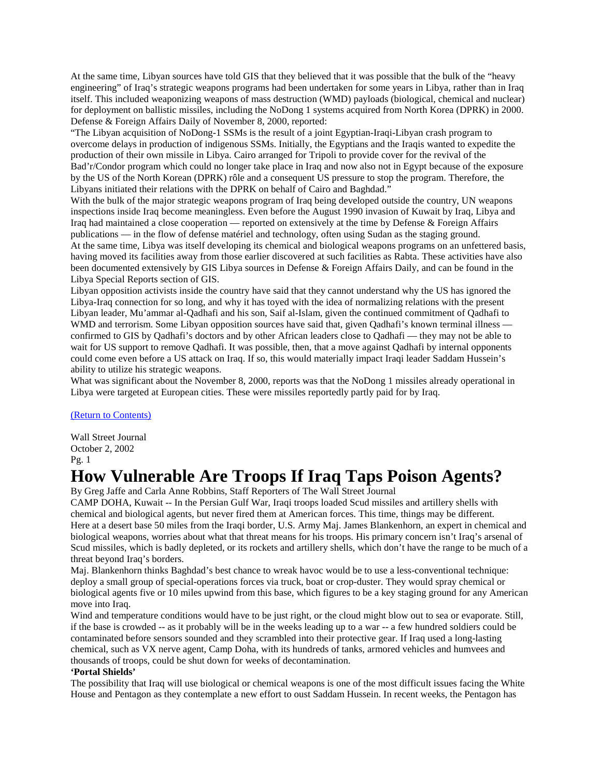At the same time, Libyan sources have told GIS that they believed that it was possible that the bulk of the "heavy engineering" of Iraq's strategic weapons programs had been undertaken for some years in Libya, rather than in Iraq itself. This included weaponizing weapons of mass destruction (WMD) payloads (biological, chemical and nuclear) for deployment on ballistic missiles, including the NoDong 1 systems acquired from North Korea (DPRK) in 2000. Defense & Foreign Affairs Daily of November 8, 2000, reported:

"The Libyan acquisition of NoDong-1 SSMs is the result of a joint Egyptian-Iraqi-Libyan crash program to overcome delays in production of indigenous SSMs. Initially, the Egyptians and the Iraqis wanted to expedite the production of their own missile in Libya. Cairo arranged for Tripoli to provide cover for the revival of the Bad'r/Condor program which could no longer take place in Iraq and now also not in Egypt because of the exposure by the US of the North Korean (DPRK) rôle and a consequent US pressure to stop the program. Therefore, the Libyans initiated their relations with the DPRK on behalf of Cairo and Baghdad."

With the bulk of the major strategic weapons program of Iraq being developed outside the country, UN weapons inspections inside Iraq become meaningless. Even before the August 1990 invasion of Kuwait by Iraq, Libya and Iraq had maintained a close cooperation — reported on extensively at the time by Defense & Foreign Affairs publications — in the flow of defense matériel and technology, often using Sudan as the staging ground. At the same time, Libya was itself developing its chemical and biological weapons programs on an unfettered basis, having moved its facilities away from those earlier discovered at such facilities as Rabta. These activities have also been documented extensively by GIS Libya sources in Defense & Foreign Affairs Daily, and can be found in the Libya Special Reports section of GIS.

Libyan opposition activists inside the country have said that they cannot understand why the US has ignored the Libya-Iraq connection for so long, and why it has toyed with the idea of normalizing relations with the present Libyan leader, Mu'ammar al-Qadhafi and his son, Saif al-Islam, given the continued commitment of Qadhafi to WMD and terrorism. Some Libyan opposition sources have said that, given Qadhafi's known terminal illness confirmed to GIS by Qadhafi's doctors and by other African leaders close to Qadhafi — they may not be able to wait for US support to remove Qadhafi. It was possible, then, that a move against Qadhafi by internal opponents could come even before a US attack on Iraq. If so, this would materially impact Iraqi leader Saddam Hussein's ability to utilize his strategic weapons.

What was significant about the November 8, 2000, reports was that the NoDong 1 missiles already operational in Libya were targeted at European cities. These were missiles reportedly partly paid for by Iraq.

#### [\(Return to Contents\)](#page-0-0)

Wall Street Journal October 2, 2002 Pg. 1

### <span id="page-12-0"></span>**How Vulnerable Are Troops If Iraq Taps Poison Agents?**

By Greg Jaffe and Carla Anne Robbins, Staff Reporters of The Wall Street Journal

CAMP DOHA, Kuwait -- In the Persian Gulf War, Iraqi troops loaded Scud missiles and artillery shells with chemical and biological agents, but never fired them at American forces. This time, things may be different. Here at a desert base 50 miles from the Iraqi border, U.S. Army Maj. James Blankenhorn, an expert in chemical and biological weapons, worries about what that threat means for his troops. His primary concern isn't Iraq's arsenal of Scud missiles, which is badly depleted, or its rockets and artillery shells, which don't have the range to be much of a threat beyond Iraq's borders.

Maj. Blankenhorn thinks Baghdad's best chance to wreak havoc would be to use a less-conventional technique: deploy a small group of special-operations forces via truck, boat or crop-duster. They would spray chemical or biological agents five or 10 miles upwind from this base, which figures to be a key staging ground for any American move into Iraq.

Wind and temperature conditions would have to be just right, or the cloud might blow out to sea or evaporate. Still, if the base is crowded -- as it probably will be in the weeks leading up to a war -- a few hundred soldiers could be contaminated before sensors sounded and they scrambled into their protective gear. If Iraq used a long-lasting chemical, such as VX nerve agent, Camp Doha, with its hundreds of tanks, armored vehicles and humvees and thousands of troops, could be shut down for weeks of decontamination.

#### **'Portal Shields'**

The possibility that Iraq will use biological or chemical weapons is one of the most difficult issues facing the White House and Pentagon as they contemplate a new effort to oust Saddam Hussein. In recent weeks, the Pentagon has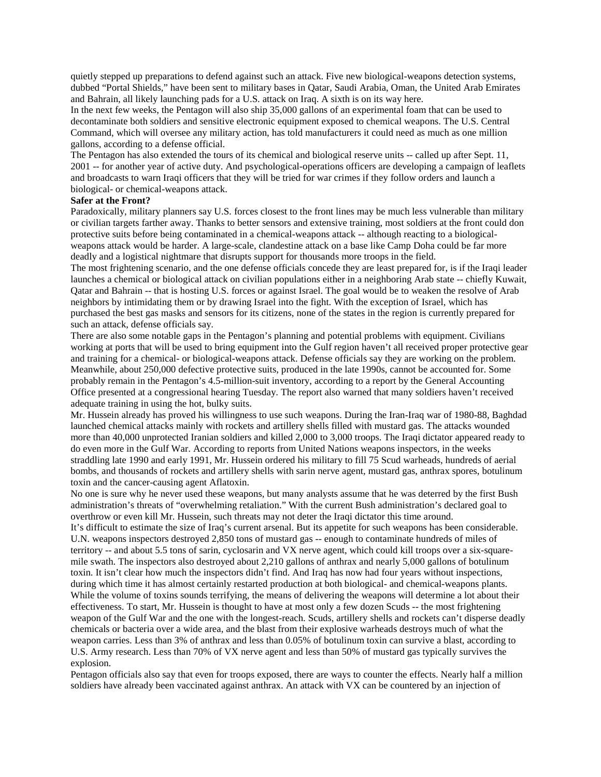quietly stepped up preparations to defend against such an attack. Five new biological-weapons detection systems, dubbed "Portal Shields," have been sent to military bases in Qatar, Saudi Arabia, Oman, the United Arab Emirates and Bahrain, all likely launching pads for a U.S. attack on Iraq. A sixth is on its way here.

In the next few weeks, the Pentagon will also ship 35,000 gallons of an experimental foam that can be used to decontaminate both soldiers and sensitive electronic equipment exposed to chemical weapons. The U.S. Central Command, which will oversee any military action, has told manufacturers it could need as much as one million gallons, according to a defense official.

The Pentagon has also extended the tours of its chemical and biological reserve units -- called up after Sept. 11, 2001 -- for another year of active duty. And psychological-operations officers are developing a campaign of leaflets and broadcasts to warn Iraqi officers that they will be tried for war crimes if they follow orders and launch a biological- or chemical-weapons attack.

#### **Safer at the Front?**

Paradoxically, military planners say U.S. forces closest to the front lines may be much less vulnerable than military or civilian targets farther away. Thanks to better sensors and extensive training, most soldiers at the front could don protective suits before being contaminated in a chemical-weapons attack -- although reacting to a biologicalweapons attack would be harder. A large-scale, clandestine attack on a base like Camp Doha could be far more deadly and a logistical nightmare that disrupts support for thousands more troops in the field.

The most frightening scenario, and the one defense officials concede they are least prepared for, is if the Iraqi leader launches a chemical or biological attack on civilian populations either in a neighboring Arab state -- chiefly Kuwait, Qatar and Bahrain -- that is hosting U.S. forces or against Israel. The goal would be to weaken the resolve of Arab neighbors by intimidating them or by drawing Israel into the fight. With the exception of Israel, which has purchased the best gas masks and sensors for its citizens, none of the states in the region is currently prepared for such an attack, defense officials say.

There are also some notable gaps in the Pentagon's planning and potential problems with equipment. Civilians working at ports that will be used to bring equipment into the Gulf region haven't all received proper protective gear and training for a chemical- or biological-weapons attack. Defense officials say they are working on the problem. Meanwhile, about 250,000 defective protective suits, produced in the late 1990s, cannot be accounted for. Some probably remain in the Pentagon's 4.5-million-suit inventory, according to a report by the General Accounting Office presented at a congressional hearing Tuesday. The report also warned that many soldiers haven't received adequate training in using the hot, bulky suits.

Mr. Hussein already has proved his willingness to use such weapons. During the Iran-Iraq war of 1980-88, Baghdad launched chemical attacks mainly with rockets and artillery shells filled with mustard gas. The attacks wounded more than 40,000 unprotected Iranian soldiers and killed 2,000 to 3,000 troops. The Iraqi dictator appeared ready to do even more in the Gulf War. According to reports from United Nations weapons inspectors, in the weeks straddling late 1990 and early 1991, Mr. Hussein ordered his military to fill 75 Scud warheads, hundreds of aerial bombs, and thousands of rockets and artillery shells with sarin nerve agent, mustard gas, anthrax spores, botulinum toxin and the cancer-causing agent Aflatoxin.

No one is sure why he never used these weapons, but many analysts assume that he was deterred by the first Bush administration's threats of "overwhelming retaliation." With the current Bush administration's declared goal to overthrow or even kill Mr. Hussein, such threats may not deter the Iraqi dictator this time around.

It's difficult to estimate the size of Iraq's current arsenal. But its appetite for such weapons has been considerable. U.N. weapons inspectors destroyed 2,850 tons of mustard gas -- enough to contaminate hundreds of miles of territory -- and about 5.5 tons of sarin, cyclosarin and VX nerve agent, which could kill troops over a six-squaremile swath. The inspectors also destroyed about 2,210 gallons of anthrax and nearly 5,000 gallons of botulinum toxin. It isn't clear how much the inspectors didn't find. And Iraq has now had four years without inspections, during which time it has almost certainly restarted production at both biological- and chemical-weapons plants. While the volume of toxins sounds terrifying, the means of delivering the weapons will determine a lot about their effectiveness. To start, Mr. Hussein is thought to have at most only a few dozen Scuds -- the most frightening weapon of the Gulf War and the one with the longest-reach. Scuds, artillery shells and rockets can't disperse deadly chemicals or bacteria over a wide area, and the blast from their explosive warheads destroys much of what the weapon carries. Less than 3% of anthrax and less than 0.05% of botulinum toxin can survive a blast, according to U.S. Army research. Less than 70% of VX nerve agent and less than 50% of mustard gas typically survives the explosion.

Pentagon officials also say that even for troops exposed, there are ways to counter the effects. Nearly half a million soldiers have already been vaccinated against anthrax. An attack with VX can be countered by an injection of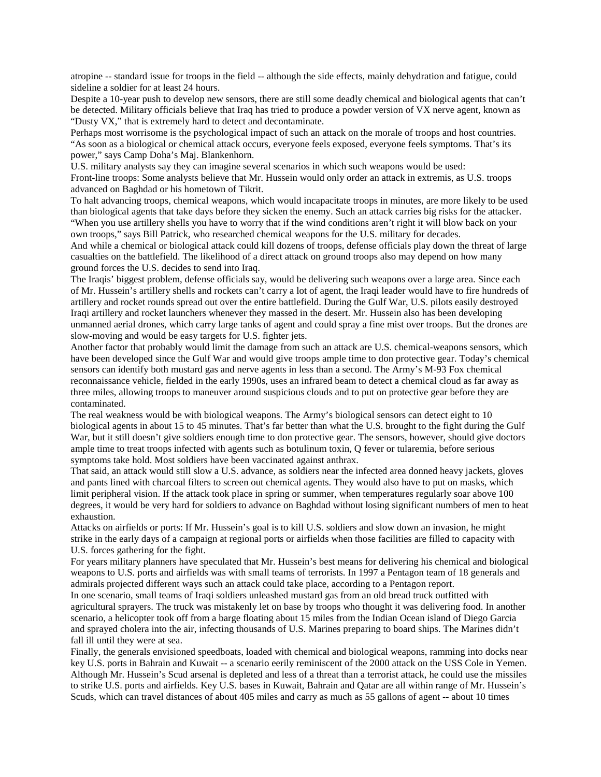atropine -- standard issue for troops in the field -- although the side effects, mainly dehydration and fatigue, could sideline a soldier for at least 24 hours.

Despite a 10-year push to develop new sensors, there are still some deadly chemical and biological agents that can't be detected. Military officials believe that Iraq has tried to produce a powder version of VX nerve agent, known as "Dusty VX," that is extremely hard to detect and decontaminate.

Perhaps most worrisome is the psychological impact of such an attack on the morale of troops and host countries. "As soon as a biological or chemical attack occurs, everyone feels exposed, everyone feels symptoms. That's its power," says Camp Doha's Maj. Blankenhorn.

U.S. military analysts say they can imagine several scenarios in which such weapons would be used: Front-line troops: Some analysts believe that Mr. Hussein would only order an attack in extremis, as U.S. troops advanced on Baghdad or his hometown of Tikrit.

To halt advancing troops, chemical weapons, which would incapacitate troops in minutes, are more likely to be used than biological agents that take days before they sicken the enemy. Such an attack carries big risks for the attacker. "When you use artillery shells you have to worry that if the wind conditions aren't right it will blow back on your own troops," says Bill Patrick, who researched chemical weapons for the U.S. military for decades.

And while a chemical or biological attack could kill dozens of troops, defense officials play down the threat of large casualties on the battlefield. The likelihood of a direct attack on ground troops also may depend on how many ground forces the U.S. decides to send into Iraq.

The Iraqis' biggest problem, defense officials say, would be delivering such weapons over a large area. Since each of Mr. Hussein's artillery shells and rockets can't carry a lot of agent, the Iraqi leader would have to fire hundreds of artillery and rocket rounds spread out over the entire battlefield. During the Gulf War, U.S. pilots easily destroyed Iraqi artillery and rocket launchers whenever they massed in the desert. Mr. Hussein also has been developing unmanned aerial drones, which carry large tanks of agent and could spray a fine mist over troops. But the drones are slow-moving and would be easy targets for U.S. fighter jets.

Another factor that probably would limit the damage from such an attack are U.S. chemical-weapons sensors, which have been developed since the Gulf War and would give troops ample time to don protective gear. Today's chemical sensors can identify both mustard gas and nerve agents in less than a second. The Army's M-93 Fox chemical reconnaissance vehicle, fielded in the early 1990s, uses an infrared beam to detect a chemical cloud as far away as three miles, allowing troops to maneuver around suspicious clouds and to put on protective gear before they are contaminated.

The real weakness would be with biological weapons. The Army's biological sensors can detect eight to 10 biological agents in about 15 to 45 minutes. That's far better than what the U.S. brought to the fight during the Gulf War, but it still doesn't give soldiers enough time to don protective gear. The sensors, however, should give doctors ample time to treat troops infected with agents such as botulinum toxin, Q fever or tularemia, before serious symptoms take hold. Most soldiers have been vaccinated against anthrax.

That said, an attack would still slow a U.S. advance, as soldiers near the infected area donned heavy jackets, gloves and pants lined with charcoal filters to screen out chemical agents. They would also have to put on masks, which limit peripheral vision. If the attack took place in spring or summer, when temperatures regularly soar above 100 degrees, it would be very hard for soldiers to advance on Baghdad without losing significant numbers of men to heat exhaustion.

Attacks on airfields or ports: If Mr. Hussein's goal is to kill U.S. soldiers and slow down an invasion, he might strike in the early days of a campaign at regional ports or airfields when those facilities are filled to capacity with U.S. forces gathering for the fight.

For years military planners have speculated that Mr. Hussein's best means for delivering his chemical and biological weapons to U.S. ports and airfields was with small teams of terrorists. In 1997 a Pentagon team of 18 generals and admirals projected different ways such an attack could take place, according to a Pentagon report.

In one scenario, small teams of Iraqi soldiers unleashed mustard gas from an old bread truck outfitted with agricultural sprayers. The truck was mistakenly let on base by troops who thought it was delivering food. In another scenario, a helicopter took off from a barge floating about 15 miles from the Indian Ocean island of Diego Garcia and sprayed cholera into the air, infecting thousands of U.S. Marines preparing to board ships. The Marines didn't fall ill until they were at sea.

Finally, the generals envisioned speedboats, loaded with chemical and biological weapons, ramming into docks near key U.S. ports in Bahrain and Kuwait -- a scenario eerily reminiscent of the 2000 attack on the USS Cole in Yemen. Although Mr. Hussein's Scud arsenal is depleted and less of a threat than a terrorist attack, he could use the missiles to strike U.S. ports and airfields. Key U.S. bases in Kuwait, Bahrain and Qatar are all within range of Mr. Hussein's Scuds, which can travel distances of about 405 miles and carry as much as 55 gallons of agent -- about 10 times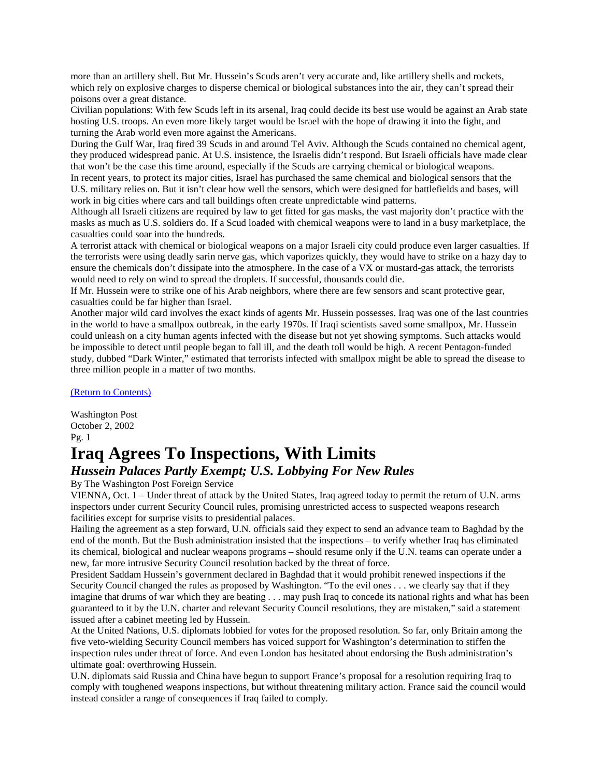more than an artillery shell. But Mr. Hussein's Scuds aren't very accurate and, like artillery shells and rockets, which rely on explosive charges to disperse chemical or biological substances into the air, they can't spread their poisons over a great distance.

Civilian populations: With few Scuds left in its arsenal, Iraq could decide its best use would be against an Arab state hosting U.S. troops. An even more likely target would be Israel with the hope of drawing it into the fight, and turning the Arab world even more against the Americans.

During the Gulf War, Iraq fired 39 Scuds in and around Tel Aviv. Although the Scuds contained no chemical agent, they produced widespread panic. At U.S. insistence, the Israelis didn't respond. But Israeli officials have made clear that won't be the case this time around, especially if the Scuds are carrying chemical or biological weapons.

In recent years, to protect its major cities, Israel has purchased the same chemical and biological sensors that the U.S. military relies on. But it isn't clear how well the sensors, which were designed for battlefields and bases, will work in big cities where cars and tall buildings often create unpredictable wind patterns.

Although all Israeli citizens are required by law to get fitted for gas masks, the vast majority don't practice with the masks as much as U.S. soldiers do. If a Scud loaded with chemical weapons were to land in a busy marketplace, the casualties could soar into the hundreds.

A terrorist attack with chemical or biological weapons on a major Israeli city could produce even larger casualties. If the terrorists were using deadly sarin nerve gas, which vaporizes quickly, they would have to strike on a hazy day to ensure the chemicals don't dissipate into the atmosphere. In the case of a VX or mustard-gas attack, the terrorists would need to rely on wind to spread the droplets. If successful, thousands could die.

If Mr. Hussein were to strike one of his Arab neighbors, where there are few sensors and scant protective gear, casualties could be far higher than Israel.

Another major wild card involves the exact kinds of agents Mr. Hussein possesses. Iraq was one of the last countries in the world to have a smallpox outbreak, in the early 1970s. If Iraqi scientists saved some smallpox, Mr. Hussein could unleash on a city human agents infected with the disease but not yet showing symptoms. Such attacks would be impossible to detect until people began to fall ill, and the death toll would be high. A recent Pentagon-funded study, dubbed "Dark Winter," estimated that terrorists infected with smallpox might be able to spread the disease to three million people in a matter of two months.

[\(Return to Contents\)](#page-0-0)

Washington Post October 2, 2002 Pg. 1

### <span id="page-15-0"></span>**Iraq Agrees To Inspections, With Limits**

### *Hussein Palaces Partly Exempt; U.S. Lobbying For New Rules*

By The Washington Post Foreign Service

VIENNA, Oct. 1 – Under threat of attack by the United States, Iraq agreed today to permit the return of U.N. arms inspectors under current Security Council rules, promising unrestricted access to suspected weapons research facilities except for surprise visits to presidential palaces.

Hailing the agreement as a step forward, U.N. officials said they expect to send an advance team to Baghdad by the end of the month. But the Bush administration insisted that the inspections – to verify whether Iraq has eliminated its chemical, biological and nuclear weapons programs – should resume only if the U.N. teams can operate under a new, far more intrusive Security Council resolution backed by the threat of force.

President Saddam Hussein's government declared in Baghdad that it would prohibit renewed inspections if the Security Council changed the rules as proposed by Washington. "To the evil ones . . . we clearly say that if they imagine that drums of war which they are beating . . . may push Iraq to concede its national rights and what has been guaranteed to it by the U.N. charter and relevant Security Council resolutions, they are mistaken," said a statement issued after a cabinet meeting led by Hussein.

At the United Nations, U.S. diplomats lobbied for votes for the proposed resolution. So far, only Britain among the five veto-wielding Security Council members has voiced support for Washington's determination to stiffen the inspection rules under threat of force. And even London has hesitated about endorsing the Bush administration's ultimate goal: overthrowing Hussein.

U.N. diplomats said Russia and China have begun to support France's proposal for a resolution requiring Iraq to comply with toughened weapons inspections, but without threatening military action. France said the council would instead consider a range of consequences if Iraq failed to comply.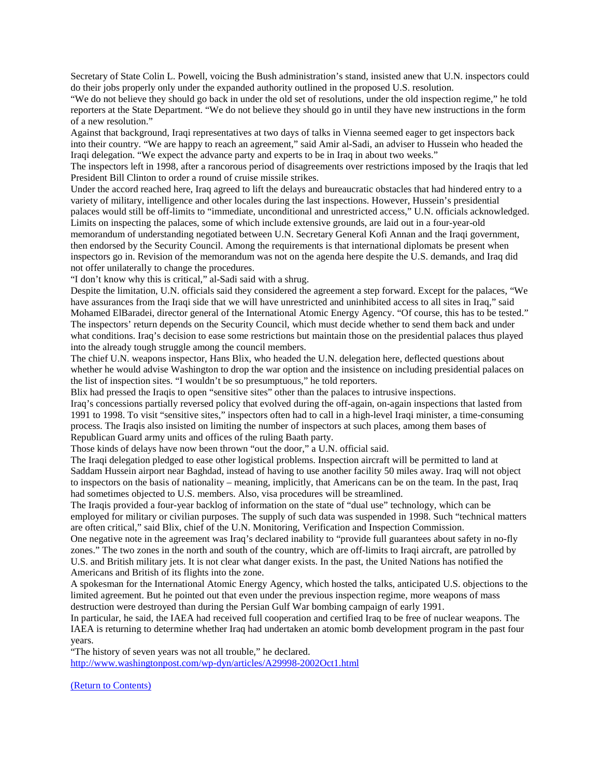Secretary of State Colin L. Powell, voicing the Bush administration's stand, insisted anew that U.N. inspectors could do their jobs properly only under the expanded authority outlined in the proposed U.S. resolution.

"We do not believe they should go back in under the old set of resolutions, under the old inspection regime," he told reporters at the State Department. "We do not believe they should go in until they have new instructions in the form of a new resolution."

Against that background, Iraqi representatives at two days of talks in Vienna seemed eager to get inspectors back into their country. "We are happy to reach an agreement," said Amir al-Sadi, an adviser to Hussein who headed the Iraqi delegation. "We expect the advance party and experts to be in Iraq in about two weeks."

The inspectors left in 1998, after a rancorous period of disagreements over restrictions imposed by the Iraqis that led President Bill Clinton to order a round of cruise missile strikes.

Under the accord reached here, Iraq agreed to lift the delays and bureaucratic obstacles that had hindered entry to a variety of military, intelligence and other locales during the last inspections. However, Hussein's presidential palaces would still be off-limits to "immediate, unconditional and unrestricted access," U.N. officials acknowledged. Limits on inspecting the palaces, some of which include extensive grounds, are laid out in a four-year-old memorandum of understanding negotiated between U.N. Secretary General Kofi Annan and the Iraqi government, then endorsed by the Security Council. Among the requirements is that international diplomats be present when inspectors go in. Revision of the memorandum was not on the agenda here despite the U.S. demands, and Iraq did not offer unilaterally to change the procedures.

"I don't know why this is critical," al-Sadi said with a shrug.

Despite the limitation, U.N. officials said they considered the agreement a step forward. Except for the palaces, "We have assurances from the Iraqi side that we will have unrestricted and uninhibited access to all sites in Iraq," said Mohamed ElBaradei, director general of the International Atomic Energy Agency. "Of course, this has to be tested." The inspectors' return depends on the Security Council, which must decide whether to send them back and under what conditions. Iraq's decision to ease some restrictions but maintain those on the presidential palaces thus played into the already tough struggle among the council members.

The chief U.N. weapons inspector, Hans Blix, who headed the U.N. delegation here, deflected questions about whether he would advise Washington to drop the war option and the insistence on including presidential palaces on the list of inspection sites. "I wouldn't be so presumptuous," he told reporters.

Blix had pressed the Iraqis to open "sensitive sites" other than the palaces to intrusive inspections.

Iraq's concessions partially reversed policy that evolved during the off-again, on-again inspections that lasted from 1991 to 1998. To visit "sensitive sites," inspectors often had to call in a high-level Iraqi minister, a time-consuming process. The Iraqis also insisted on limiting the number of inspectors at such places, among them bases of Republican Guard army units and offices of the ruling Baath party.

Those kinds of delays have now been thrown "out the door," a U.N. official said.

The Iraqi delegation pledged to ease other logistical problems. Inspection aircraft will be permitted to land at Saddam Hussein airport near Baghdad, instead of having to use another facility 50 miles away. Iraq will not object to inspectors on the basis of nationality – meaning, implicitly, that Americans can be on the team. In the past, Iraq had sometimes objected to U.S. members. Also, visa procedures will be streamlined.

The Iraqis provided a four-year backlog of information on the state of "dual use" technology, which can be employed for military or civilian purposes. The supply of such data was suspended in 1998. Such "technical matters are often critical," said Blix, chief of the U.N. Monitoring, Verification and Inspection Commission.

One negative note in the agreement was Iraq's declared inability to "provide full guarantees about safety in no-fly zones." The two zones in the north and south of the country, which are off-limits to Iraqi aircraft, are patrolled by U.S. and British military jets. It is not clear what danger exists. In the past, the United Nations has notified the Americans and British of its flights into the zone.

A spokesman for the International Atomic Energy Agency, which hosted the talks, anticipated U.S. objections to the limited agreement. But he pointed out that even under the previous inspection regime, more weapons of mass destruction were destroyed than during the Persian Gulf War bombing campaign of early 1991.

In particular, he said, the IAEA had received full cooperation and certified Iraq to be free of nuclear weapons. The IAEA is returning to determine whether Iraq had undertaken an atomic bomb development program in the past four years.

"The history of seven years was not all trouble," he declared. <http://www.washingtonpost.com/wp-dyn/articles/A29998-2002Oct1.html>

[\(Return to Contents\)](#page-0-0)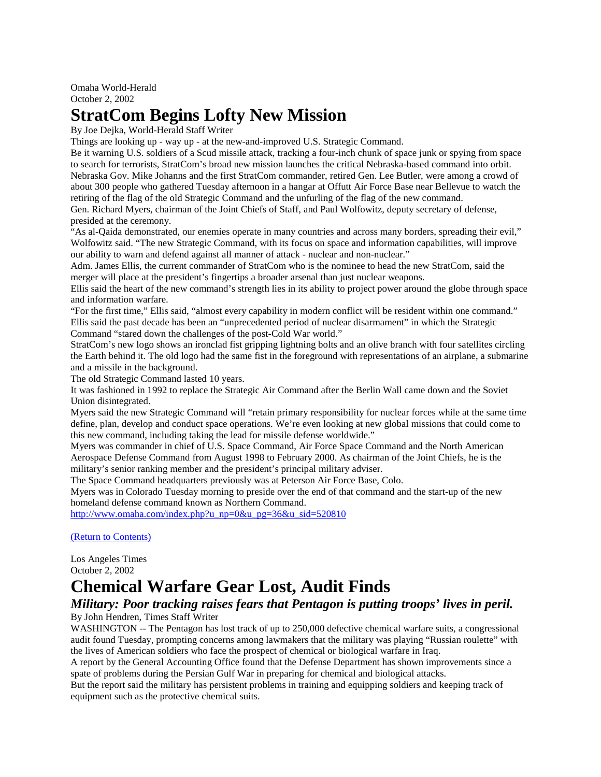## <span id="page-17-0"></span>**StratCom Begins Lofty New Mission**

By Joe Dejka, World-Herald Staff Writer

Things are looking up - way up - at the new-and-improved U.S. Strategic Command.

Be it warning U.S. soldiers of a Scud missile attack, tracking a four-inch chunk of space junk or spying from space to search for terrorists, StratCom's broad new mission launches the critical Nebraska-based command into orbit. Nebraska Gov. Mike Johanns and the first StratCom commander, retired Gen. Lee Butler, were among a crowd of about 300 people who gathered Tuesday afternoon in a hangar at Offutt Air Force Base near Bellevue to watch the retiring of the flag of the old Strategic Command and the unfurling of the flag of the new command. Gen. Richard Myers, chairman of the Joint Chiefs of Staff, and Paul Wolfowitz, deputy secretary of defense, presided at the ceremony.

"As al-Qaida demonstrated, our enemies operate in many countries and across many borders, spreading their evil," Wolfowitz said. "The new Strategic Command, with its focus on space and information capabilities, will improve our ability to warn and defend against all manner of attack - nuclear and non-nuclear."

Adm. James Ellis, the current commander of StratCom who is the nominee to head the new StratCom, said the merger will place at the president's fingertips a broader arsenal than just nuclear weapons.

Ellis said the heart of the new command's strength lies in its ability to project power around the globe through space and information warfare.

"For the first time," Ellis said, "almost every capability in modern conflict will be resident within one command." Ellis said the past decade has been an "unprecedented period of nuclear disarmament" in which the Strategic Command "stared down the challenges of the post-Cold War world."

StratCom's new logo shows an ironclad fist gripping lightning bolts and an olive branch with four satellites circling the Earth behind it. The old logo had the same fist in the foreground with representations of an airplane, a submarine and a missile in the background.

The old Strategic Command lasted 10 years.

It was fashioned in 1992 to replace the Strategic Air Command after the Berlin Wall came down and the Soviet Union disintegrated.

Myers said the new Strategic Command will "retain primary responsibility for nuclear forces while at the same time define, plan, develop and conduct space operations. We're even looking at new global missions that could come to this new command, including taking the lead for missile defense worldwide."

Myers was commander in chief of U.S. Space Command, Air Force Space Command and the North American Aerospace Defense Command from August 1998 to February 2000. As chairman of the Joint Chiefs, he is the military's senior ranking member and the president's principal military adviser.

The Space Command headquarters previously was at Peterson Air Force Base, Colo.

Myers was in Colorado Tuesday morning to preside over the end of that command and the start-up of the new homeland defense command known as Northern Command.

[http://www.omaha.com/index.php?u\\_np=0&u\\_pg=36&u\\_sid=520810](http://www.omaha.com/index.php?u_np=0&u_pg=36&u_sid=520810)

[\(Return to Contents\)](#page-0-0)

Los Angeles Times October 2, 2002

### <span id="page-17-1"></span>**Chemical Warfare Gear Lost, Audit Finds**

### *Military: Poor tracking raises fears that Pentagon is putting troops' lives in peril.*

By John Hendren, Times Staff Writer

WASHINGTON -- The Pentagon has lost track of up to 250,000 defective chemical warfare suits, a congressional audit found Tuesday, prompting concerns among lawmakers that the military was playing "Russian roulette" with the lives of American soldiers who face the prospect of chemical or biological warfare in Iraq.

A report by the General Accounting Office found that the Defense Department has shown improvements since a spate of problems during the Persian Gulf War in preparing for chemical and biological attacks.

But the report said the military has persistent problems in training and equipping soldiers and keeping track of equipment such as the protective chemical suits.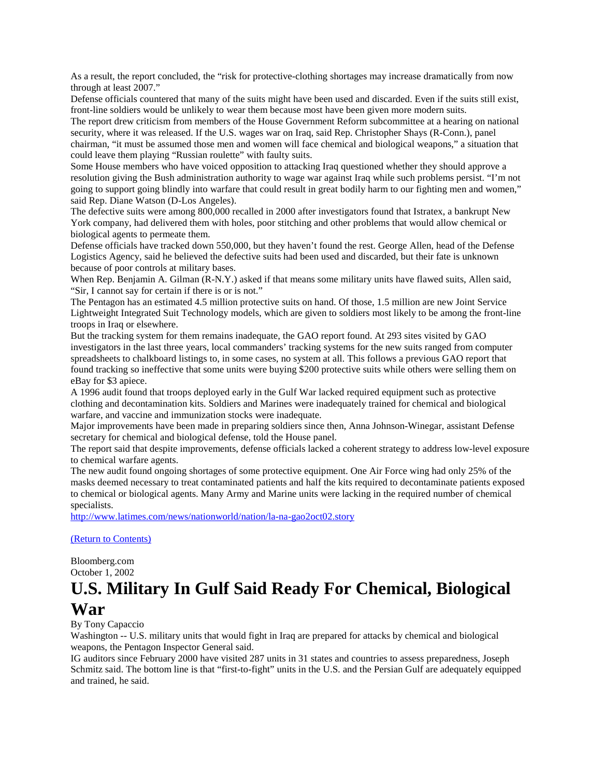As a result, the report concluded, the "risk for protective-clothing shortages may increase dramatically from now through at least 2007."

Defense officials countered that many of the suits might have been used and discarded. Even if the suits still exist, front-line soldiers would be unlikely to wear them because most have been given more modern suits.

The report drew criticism from members of the House Government Reform subcommittee at a hearing on national security, where it was released. If the U.S. wages war on Iraq, said Rep. Christopher Shays (R-Conn.), panel chairman, "it must be assumed those men and women will face chemical and biological weapons," a situation that could leave them playing "Russian roulette" with faulty suits.

Some House members who have voiced opposition to attacking Iraq questioned whether they should approve a resolution giving the Bush administration authority to wage war against Iraq while such problems persist. "I'm not going to support going blindly into warfare that could result in great bodily harm to our fighting men and women," said Rep. Diane Watson (D-Los Angeles).

The defective suits were among 800,000 recalled in 2000 after investigators found that Istratex, a bankrupt New York company, had delivered them with holes, poor stitching and other problems that would allow chemical or biological agents to permeate them.

Defense officials have tracked down 550,000, but they haven't found the rest. George Allen, head of the Defense Logistics Agency, said he believed the defective suits had been used and discarded, but their fate is unknown because of poor controls at military bases.

When Rep. Benjamin A. Gilman (R-N.Y.) asked if that means some military units have flawed suits, Allen said, "Sir, I cannot say for certain if there is or is not."

The Pentagon has an estimated 4.5 million protective suits on hand. Of those, 1.5 million are new Joint Service Lightweight Integrated Suit Technology models, which are given to soldiers most likely to be among the front-line troops in Iraq or elsewhere.

But the tracking system for them remains inadequate, the GAO report found. At 293 sites visited by GAO investigators in the last three years, local commanders' tracking systems for the new suits ranged from computer spreadsheets to chalkboard listings to, in some cases, no system at all. This follows a previous GAO report that found tracking so ineffective that some units were buying \$200 protective suits while others were selling them on eBay for \$3 apiece.

A 1996 audit found that troops deployed early in the Gulf War lacked required equipment such as protective clothing and decontamination kits. Soldiers and Marines were inadequately trained for chemical and biological warfare, and vaccine and immunization stocks were inadequate.

Major improvements have been made in preparing soldiers since then, Anna Johnson-Winegar, assistant Defense secretary for chemical and biological defense, told the House panel.

The report said that despite improvements, defense officials lacked a coherent strategy to address low-level exposure to chemical warfare agents.

The new audit found ongoing shortages of some protective equipment. One Air Force wing had only 25% of the masks deemed necessary to treat contaminated patients and half the kits required to decontaminate patients exposed to chemical or biological agents. Many Army and Marine units were lacking in the required number of chemical specialists.

<http://www.latimes.com/news/nationworld/nation/la-na-gao2oct02.story>

#### [\(Return to Contents\)](#page-0-0)

Bloomberg.com October 1, 2002

### <span id="page-18-0"></span>**U.S. Military In Gulf Said Ready For Chemical, Biological War**

By Tony Capaccio

Washington -- U.S. military units that would fight in Iraq are prepared for attacks by chemical and biological weapons, the Pentagon Inspector General said.

IG auditors since February 2000 have visited 287 units in 31 states and countries to assess preparedness, Joseph Schmitz said. The bottom line is that "first-to-fight" units in the U.S. and the Persian Gulf are adequately equipped and trained, he said.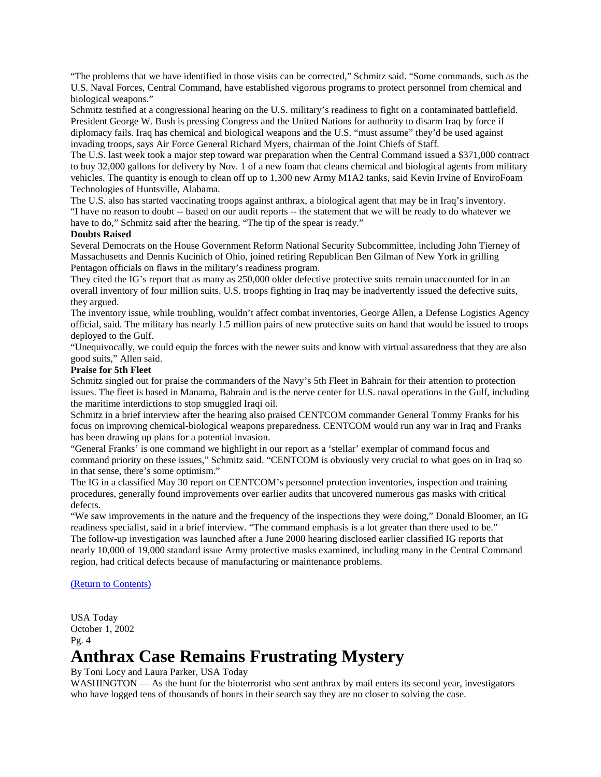"The problems that we have identified in those visits can be corrected," Schmitz said. "Some commands, such as the U.S. Naval Forces, Central Command, have established vigorous programs to protect personnel from chemical and biological weapons."

Schmitz testified at a congressional hearing on the U.S. military's readiness to fight on a contaminated battlefield. President George W. Bush is pressing Congress and the United Nations for authority to disarm Iraq by force if diplomacy fails. Iraq has chemical and biological weapons and the U.S. "must assume" they'd be used against invading troops, says Air Force General Richard Myers, chairman of the Joint Chiefs of Staff.

The U.S. last week took a major step toward war preparation when the Central Command issued a \$371,000 contract to buy 32,000 gallons for delivery by Nov. 1 of a new foam that cleans chemical and biological agents from military vehicles. The quantity is enough to clean off up to 1,300 new Army M1A2 tanks, said Kevin Irvine of EnviroFoam Technologies of Huntsville, Alabama.

The U.S. also has started vaccinating troops against anthrax, a biological agent that may be in Iraq's inventory. "I have no reason to doubt -- based on our audit reports -- the statement that we will be ready to do whatever we have to do," Schmitz said after the hearing. "The tip of the spear is ready."

#### **Doubts Raised**

Several Democrats on the House Government Reform National Security Subcommittee, including John Tierney of Massachusetts and Dennis Kucinich of Ohio, joined retiring Republican Ben Gilman of New York in grilling Pentagon officials on flaws in the military's readiness program.

They cited the IG's report that as many as 250,000 older defective protective suits remain unaccounted for in an overall inventory of four million suits. U.S. troops fighting in Iraq may be inadvertently issued the defective suits, they argued.

The inventory issue, while troubling, wouldn't affect combat inventories, George Allen, a Defense Logistics Agency official, said. The military has nearly 1.5 million pairs of new protective suits on hand that would be issued to troops deployed to the Gulf.

"Unequivocally, we could equip the forces with the newer suits and know with virtual assuredness that they are also good suits," Allen said.

#### **Praise for 5th Fleet**

Schmitz singled out for praise the commanders of the Navy's 5th Fleet in Bahrain for their attention to protection issues. The fleet is based in Manama, Bahrain and is the nerve center for U.S. naval operations in the Gulf, including the maritime interdictions to stop smuggled Iraqi oil.

Schmitz in a brief interview after the hearing also praised CENTCOM commander General Tommy Franks for his focus on improving chemical-biological weapons preparedness. CENTCOM would run any war in Iraq and Franks has been drawing up plans for a potential invasion.

"General Franks' is one command we highlight in our report as a 'stellar' exemplar of command focus and command priority on these issues," Schmitz said. "CENTCOM is obviously very crucial to what goes on in Iraq so in that sense, there's some optimism."

The IG in a classified May 30 report on CENTCOM's personnel protection inventories, inspection and training procedures, generally found improvements over earlier audits that uncovered numerous gas masks with critical defects.

"We saw improvements in the nature and the frequency of the inspections they were doing," Donald Bloomer, an IG readiness specialist, said in a brief interview. "The command emphasis is a lot greater than there used to be." The follow-up investigation was launched after a June 2000 hearing disclosed earlier classified IG reports that nearly 10,000 of 19,000 standard issue Army protective masks examined, including many in the Central Command region, had critical defects because of manufacturing or maintenance problems.

#### [\(Return to Contents\)](#page-0-0)

USA Today October 1, 2002 Pg. 4

## <span id="page-19-0"></span>**Anthrax Case Remains Frustrating Mystery**

By Toni Locy and Laura Parker, USA Today

WASHINGTON — As the hunt for the bioterrorist who sent anthrax by mail enters its second year, investigators who have logged tens of thousands of hours in their search say they are no closer to solving the case.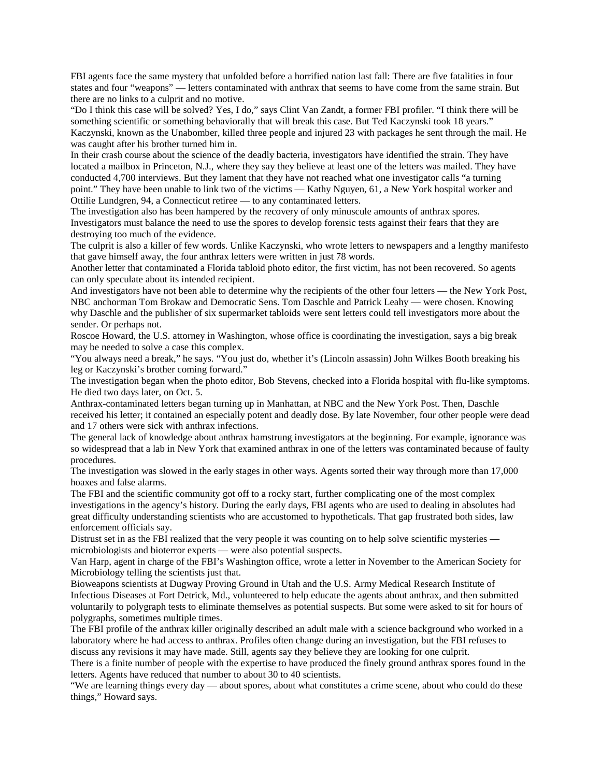FBI agents face the same mystery that unfolded before a horrified nation last fall: There are five fatalities in four states and four "weapons" — letters contaminated with anthrax that seems to have come from the same strain. But there are no links to a culprit and no motive.

"Do I think this case will be solved? Yes, I do," says Clint Van Zandt, a former FBI profiler. "I think there will be something scientific or something behaviorally that will break this case. But Ted Kaczynski took 18 years." Kaczynski, known as the Unabomber, killed three people and injured 23 with packages he sent through the mail. He was caught after his brother turned him in.

In their crash course about the science of the deadly bacteria, investigators have identified the strain. They have located a mailbox in Princeton, N.J., where they say they believe at least one of the letters was mailed. They have conducted 4,700 interviews. But they lament that they have not reached what one investigator calls "a turning point." They have been unable to link two of the victims — Kathy Nguyen, 61, a New York hospital worker and Ottilie Lundgren, 94, a Connecticut retiree — to any contaminated letters.

The investigation also has been hampered by the recovery of only minuscule amounts of anthrax spores. Investigators must balance the need to use the spores to develop forensic tests against their fears that they are destroying too much of the evidence.

The culprit is also a killer of few words. Unlike Kaczynski, who wrote letters to newspapers and a lengthy manifesto that gave himself away, the four anthrax letters were written in just 78 words.

Another letter that contaminated a Florida tabloid photo editor, the first victim, has not been recovered. So agents can only speculate about its intended recipient.

And investigators have not been able to determine why the recipients of the other four letters — the New York Post, NBC anchorman Tom Brokaw and Democratic Sens. Tom Daschle and Patrick Leahy — were chosen. Knowing why Daschle and the publisher of six supermarket tabloids were sent letters could tell investigators more about the sender. Or perhaps not.

Roscoe Howard, the U.S. attorney in Washington, whose office is coordinating the investigation, says a big break may be needed to solve a case this complex.

"You always need a break," he says. "You just do, whether it's (Lincoln assassin) John Wilkes Booth breaking his leg or Kaczynski's brother coming forward."

The investigation began when the photo editor, Bob Stevens, checked into a Florida hospital with flu-like symptoms. He died two days later, on Oct. 5.

Anthrax-contaminated letters began turning up in Manhattan, at NBC and the New York Post. Then, Daschle received his letter; it contained an especially potent and deadly dose. By late November, four other people were dead and 17 others were sick with anthrax infections.

The general lack of knowledge about anthrax hamstrung investigators at the beginning. For example, ignorance was so widespread that a lab in New York that examined anthrax in one of the letters was contaminated because of faulty procedures.

The investigation was slowed in the early stages in other ways. Agents sorted their way through more than 17,000 hoaxes and false alarms.

The FBI and the scientific community got off to a rocky start, further complicating one of the most complex investigations in the agency's history. During the early days, FBI agents who are used to dealing in absolutes had great difficulty understanding scientists who are accustomed to hypotheticals. That gap frustrated both sides, law enforcement officials say.

Distrust set in as the FBI realized that the very people it was counting on to help solve scientific mysteries microbiologists and bioterror experts — were also potential suspects.

Van Harp, agent in charge of the FBI's Washington office, wrote a letter in November to the American Society for Microbiology telling the scientists just that.

Bioweapons scientists at Dugway Proving Ground in Utah and the U.S. Army Medical Research Institute of Infectious Diseases at Fort Detrick, Md., volunteered to help educate the agents about anthrax, and then submitted voluntarily to polygraph tests to eliminate themselves as potential suspects. But some were asked to sit for hours of polygraphs, sometimes multiple times.

The FBI profile of the anthrax killer originally described an adult male with a science background who worked in a laboratory where he had access to anthrax. Profiles often change during an investigation, but the FBI refuses to discuss any revisions it may have made. Still, agents say they believe they are looking for one culprit.

There is a finite number of people with the expertise to have produced the finely ground anthrax spores found in the letters. Agents have reduced that number to about 30 to 40 scientists.

"We are learning things every day — about spores, about what constitutes a crime scene, about who could do these things," Howard says.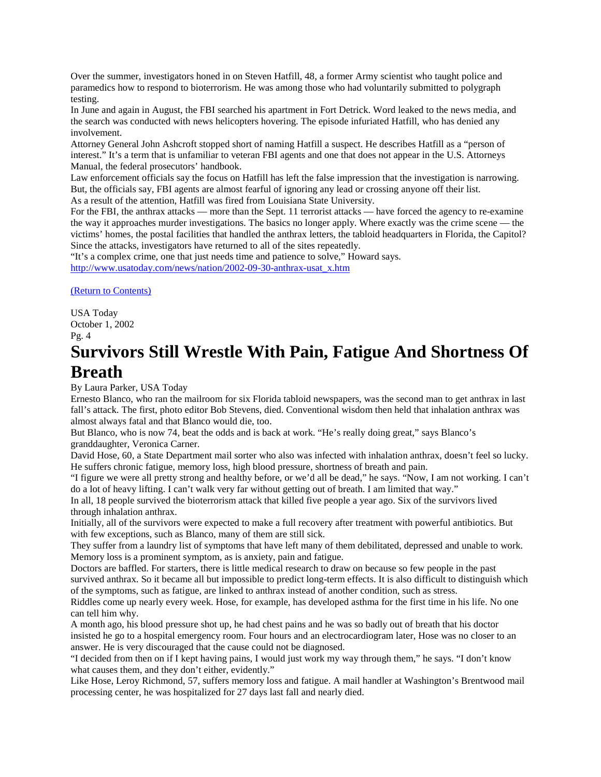Over the summer, investigators honed in on Steven Hatfill, 48, a former Army scientist who taught police and paramedics how to respond to bioterrorism. He was among those who had voluntarily submitted to polygraph testing.

In June and again in August, the FBI searched his apartment in Fort Detrick. Word leaked to the news media, and the search was conducted with news helicopters hovering. The episode infuriated Hatfill, who has denied any involvement.

Attorney General John Ashcroft stopped short of naming Hatfill a suspect. He describes Hatfill as a "person of interest." It's a term that is unfamiliar to veteran FBI agents and one that does not appear in the U.S. Attorneys Manual, the federal prosecutors' handbook.

Law enforcement officials say the focus on Hatfill has left the false impression that the investigation is narrowing. But, the officials say, FBI agents are almost fearful of ignoring any lead or crossing anyone off their list. As a result of the attention, Hatfill was fired from Louisiana State University.

For the FBI, the anthrax attacks — more than the Sept. 11 terrorist attacks — have forced the agency to re-examine the way it approaches murder investigations. The basics no longer apply. Where exactly was the crime scene — the victims' homes, the postal facilities that handled the anthrax letters, the tabloid headquarters in Florida, the Capitol? Since the attacks, investigators have returned to all of the sites repeatedly.

"It's a complex crime, one that just needs time and patience to solve," Howard says.

[http://www.usatoday.com/news/nation/2002-09-30-anthrax-usat\\_x.htm](http://www.usatoday.com/news/nation/2002-09-30-anthrax-usat_x.htm)

[\(Return to Contents\)](#page-0-0)

USA Today October 1, 2002 Pg. 4

### <span id="page-21-0"></span>**Survivors Still Wrestle With Pain, Fatigue And Shortness Of Breath**

By Laura Parker, USA Today

Ernesto Blanco, who ran the mailroom for six Florida tabloid newspapers, was the second man to get anthrax in last fall's attack. The first, photo editor Bob Stevens, died. Conventional wisdom then held that inhalation anthrax was almost always fatal and that Blanco would die, too.

But Blanco, who is now 74, beat the odds and is back at work. "He's really doing great," says Blanco's granddaughter, Veronica Carner.

David Hose, 60, a State Department mail sorter who also was infected with inhalation anthrax, doesn't feel so lucky. He suffers chronic fatigue, memory loss, high blood pressure, shortness of breath and pain.

"I figure we were all pretty strong and healthy before, or we'd all be dead," he says. "Now, I am not working. I can't do a lot of heavy lifting. I can't walk very far without getting out of breath. I am limited that way."

In all, 18 people survived the bioterrorism attack that killed five people a year ago. Six of the survivors lived through inhalation anthrax.

Initially, all of the survivors were expected to make a full recovery after treatment with powerful antibiotics. But with few exceptions, such as Blanco, many of them are still sick.

They suffer from a laundry list of symptoms that have left many of them debilitated, depressed and unable to work. Memory loss is a prominent symptom, as is anxiety, pain and fatigue.

Doctors are baffled. For starters, there is little medical research to draw on because so few people in the past survived anthrax. So it became all but impossible to predict long-term effects. It is also difficult to distinguish which of the symptoms, such as fatigue, are linked to anthrax instead of another condition, such as stress.

Riddles come up nearly every week. Hose, for example, has developed asthma for the first time in his life. No one can tell him why.

A month ago, his blood pressure shot up, he had chest pains and he was so badly out of breath that his doctor insisted he go to a hospital emergency room. Four hours and an electrocardiogram later, Hose was no closer to an answer. He is very discouraged that the cause could not be diagnosed.

"I decided from then on if I kept having pains, I would just work my way through them," he says. "I don't know what causes them, and they don't either, evidently."

Like Hose, Leroy Richmond, 57, suffers memory loss and fatigue. A mail handler at Washington's Brentwood mail processing center, he was hospitalized for 27 days last fall and nearly died.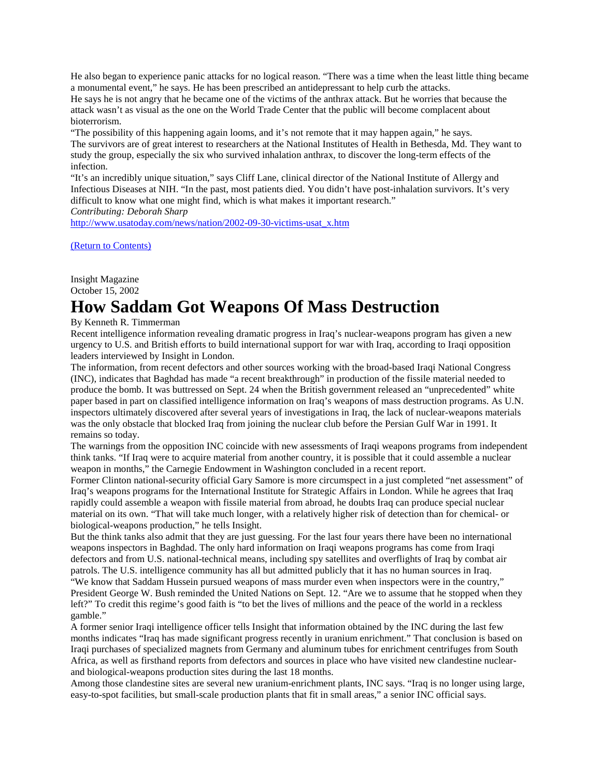He also began to experience panic attacks for no logical reason. "There was a time when the least little thing became a monumental event," he says. He has been prescribed an antidepressant to help curb the attacks. He says he is not angry that he became one of the victims of the anthrax attack. But he worries that because the attack wasn't as visual as the one on the World Trade Center that the public will become complacent about bioterrorism.

"The possibility of this happening again looms, and it's not remote that it may happen again," he says. The survivors are of great interest to researchers at the National Institutes of Health in Bethesda, Md. They want to study the group, especially the six who survived inhalation anthrax, to discover the long-term effects of the infection.

"It's an incredibly unique situation," says Cliff Lane, clinical director of the National Institute of Allergy and Infectious Diseases at NIH. "In the past, most patients died. You didn't have post-inhalation survivors. It's very difficult to know what one might find, which is what makes it important research."

*Contributing: Deborah Sharp*

[http://www.usatoday.com/news/nation/2002-09-30-victims-usat\\_x.htm](http://www.usatoday.com/news/nation/2002-09-30-victims-usat_x.htm)

[\(Return to Contents\)](#page-0-0)

Insight Magazine October 15, 2002

### <span id="page-22-0"></span>**How Saddam Got Weapons Of Mass Destruction**

By Kenneth R. Timmerman

Recent intelligence information revealing dramatic progress in Iraq's nuclear-weapons program has given a new urgency to U.S. and British efforts to build international support for war with Iraq, according to Iraqi opposition leaders interviewed by Insight in London.

The information, from recent defectors and other sources working with the broad-based Iraqi National Congress (INC), indicates that Baghdad has made "a recent breakthrough" in production of the fissile material needed to produce the bomb. It was buttressed on Sept. 24 when the British government released an "unprecedented" white paper based in part on classified intelligence information on Iraq's weapons of mass destruction programs. As U.N. inspectors ultimately discovered after several years of investigations in Iraq, the lack of nuclear-weapons materials was the only obstacle that blocked Iraq from joining the nuclear club before the Persian Gulf War in 1991. It remains so today.

The warnings from the opposition INC coincide with new assessments of Iraqi weapons programs from independent think tanks. "If Iraq were to acquire material from another country, it is possible that it could assemble a nuclear weapon in months," the Carnegie Endowment in Washington concluded in a recent report.

Former Clinton national-security official Gary Samore is more circumspect in a just completed "net assessment" of Iraq's weapons programs for the International Institute for Strategic Affairs in London. While he agrees that Iraq rapidly could assemble a weapon with fissile material from abroad, he doubts Iraq can produce special nuclear material on its own. "That will take much longer, with a relatively higher risk of detection than for chemical- or biological-weapons production," he tells Insight.

But the think tanks also admit that they are just guessing. For the last four years there have been no international weapons inspectors in Baghdad. The only hard information on Iraqi weapons programs has come from Iraqi defectors and from U.S. national-technical means, including spy satellites and overflights of Iraq by combat air patrols. The U.S. intelligence community has all but admitted publicly that it has no human sources in Iraq. "We know that Saddam Hussein pursued weapons of mass murder even when inspectors were in the country,"

President George W. Bush reminded the United Nations on Sept. 12. "Are we to assume that he stopped when they left?" To credit this regime's good faith is "to bet the lives of millions and the peace of the world in a reckless gamble."

A former senior Iraqi intelligence officer tells Insight that information obtained by the INC during the last few months indicates "Iraq has made significant progress recently in uranium enrichment." That conclusion is based on Iraqi purchases of specialized magnets from Germany and aluminum tubes for enrichment centrifuges from South Africa, as well as firsthand reports from defectors and sources in place who have visited new clandestine nuclearand biological-weapons production sites during the last 18 months.

Among those clandestine sites are several new uranium-enrichment plants, INC says. "Iraq is no longer using large, easy-to-spot facilities, but small-scale production plants that fit in small areas," a senior INC official says.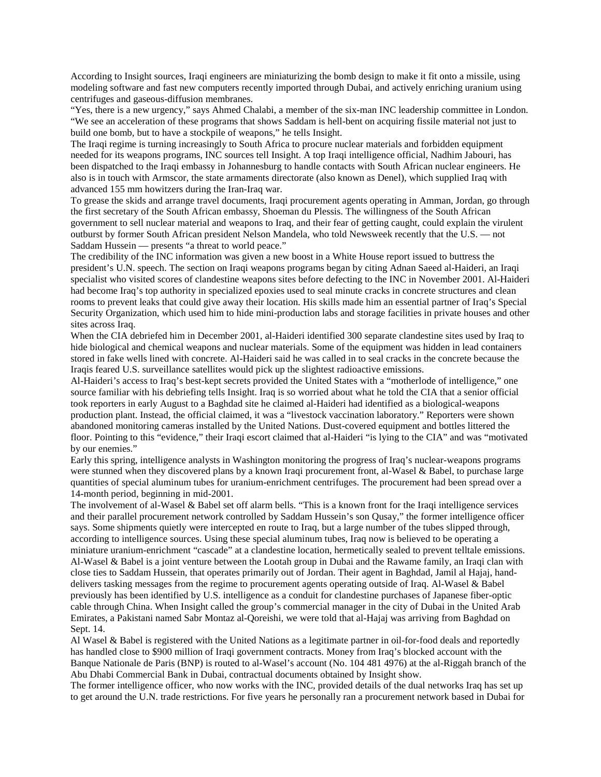According to Insight sources, Iraqi engineers are miniaturizing the bomb design to make it fit onto a missile, using modeling software and fast new computers recently imported through Dubai, and actively enriching uranium using centrifuges and gaseous-diffusion membranes.

"Yes, there is a new urgency," says Ahmed Chalabi, a member of the six-man INC leadership committee in London. "We see an acceleration of these programs that shows Saddam is hell-bent on acquiring fissile material not just to build one bomb, but to have a stockpile of weapons," he tells Insight.

The Iraqi regime is turning increasingly to South Africa to procure nuclear materials and forbidden equipment needed for its weapons programs, INC sources tell Insight. A top Iraqi intelligence official, Nadhim Jabouri, has been dispatched to the Iraqi embassy in Johannesburg to handle contacts with South African nuclear engineers. He also is in touch with Armscor, the state armaments directorate (also known as Denel), which supplied Iraq with advanced 155 mm howitzers during the Iran-Iraq war.

To grease the skids and arrange travel documents, Iraqi procurement agents operating in Amman, Jordan, go through the first secretary of the South African embassy, Shoeman du Plessis. The willingness of the South African government to sell nuclear material and weapons to Iraq, and their fear of getting caught, could explain the virulent outburst by former South African president Nelson Mandela, who told Newsweek recently that the U.S. — not Saddam Hussein — presents "a threat to world peace."

The credibility of the INC information was given a new boost in a White House report issued to buttress the president's U.N. speech. The section on Iraqi weapons programs began by citing Adnan Saeed al-Haideri, an Iraqi specialist who visited scores of clandestine weapons sites before defecting to the INC in November 2001. Al-Haideri had become Iraq's top authority in specialized epoxies used to seal minute cracks in concrete structures and clean rooms to prevent leaks that could give away their location. His skills made him an essential partner of Iraq's Special Security Organization, which used him to hide mini-production labs and storage facilities in private houses and other sites across Iraq.

When the CIA debriefed him in December 2001, al-Haideri identified 300 separate clandestine sites used by Iraq to hide biological and chemical weapons and nuclear materials. Some of the equipment was hidden in lead containers stored in fake wells lined with concrete. Al-Haideri said he was called in to seal cracks in the concrete because the Iraqis feared U.S. surveillance satellites would pick up the slightest radioactive emissions.

Al-Haideri's access to Iraq's best-kept secrets provided the United States with a "motherlode of intelligence," one source familiar with his debriefing tells Insight. Iraq is so worried about what he told the CIA that a senior official took reporters in early August to a Baghdad site he claimed al-Haideri had identified as a biological-weapons production plant. Instead, the official claimed, it was a "livestock vaccination laboratory." Reporters were shown abandoned monitoring cameras installed by the United Nations. Dust-covered equipment and bottles littered the floor. Pointing to this "evidence," their Iraqi escort claimed that al-Haideri "is lying to the CIA" and was "motivated by our enemies."

Early this spring, intelligence analysts in Washington monitoring the progress of Iraq's nuclear-weapons programs were stunned when they discovered plans by a known Iraqi procurement front, al-Wasel & Babel, to purchase large quantities of special aluminum tubes for uranium-enrichment centrifuges. The procurement had been spread over a 14-month period, beginning in mid-2001.

The involvement of al-Wasel & Babel set off alarm bells. "This is a known front for the Iraqi intelligence services and their parallel procurement network controlled by Saddam Hussein's son Qusay," the former intelligence officer says. Some shipments quietly were intercepted en route to Iraq, but a large number of the tubes slipped through, according to intelligence sources. Using these special aluminum tubes, Iraq now is believed to be operating a miniature uranium-enrichment "cascade" at a clandestine location, hermetically sealed to prevent telltale emissions. Al-Wasel & Babel is a joint venture between the Lootah group in Dubai and the Rawame family, an Iraqi clan with close ties to Saddam Hussein, that operates primarily out of Jordan. Their agent in Baghdad, Jamil al Hajaj, handdelivers tasking messages from the regime to procurement agents operating outside of Iraq. Al-Wasel & Babel previously has been identified by U.S. intelligence as a conduit for clandestine purchases of Japanese fiber-optic cable through China. When Insight called the group's commercial manager in the city of Dubai in the United Arab Emirates, a Pakistani named Sabr Montaz al-Qoreishi, we were told that al-Hajaj was arriving from Baghdad on Sept. 14.

Al Wasel & Babel is registered with the United Nations as a legitimate partner in oil-for-food deals and reportedly has handled close to \$900 million of Iraqi government contracts. Money from Iraq's blocked account with the Banque Nationale de Paris (BNP) is routed to al-Wasel's account (No. 104 481 4976) at the al-Riggah branch of the Abu Dhabi Commercial Bank in Dubai, contractual documents obtained by Insight show.

The former intelligence officer, who now works with the INC, provided details of the dual networks Iraq has set up to get around the U.N. trade restrictions. For five years he personally ran a procurement network based in Dubai for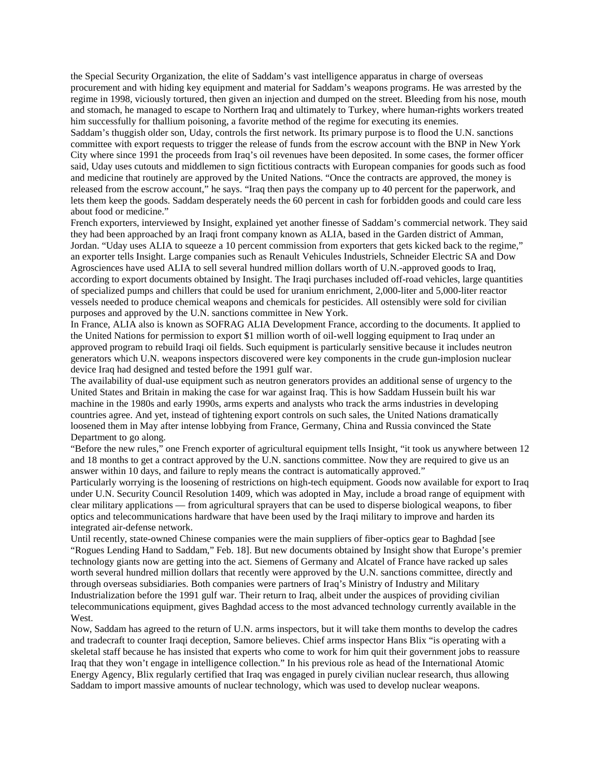the Special Security Organization, the elite of Saddam's vast intelligence apparatus in charge of overseas procurement and with hiding key equipment and material for Saddam's weapons programs. He was arrested by the regime in 1998, viciously tortured, then given an injection and dumped on the street. Bleeding from his nose, mouth and stomach, he managed to escape to Northern Iraq and ultimately to Turkey, where human-rights workers treated him successfully for thallium poisoning, a favorite method of the regime for executing its enemies.

Saddam's thuggish older son, Uday, controls the first network. Its primary purpose is to flood the U.N. sanctions committee with export requests to trigger the release of funds from the escrow account with the BNP in New York City where since 1991 the proceeds from Iraq's oil revenues have been deposited. In some cases, the former officer said, Uday uses cutouts and middlemen to sign fictitious contracts with European companies for goods such as food and medicine that routinely are approved by the United Nations. "Once the contracts are approved, the money is released from the escrow account," he says. "Iraq then pays the company up to 40 percent for the paperwork, and lets them keep the goods. Saddam desperately needs the 60 percent in cash for forbidden goods and could care less about food or medicine."

French exporters, interviewed by Insight, explained yet another finesse of Saddam's commercial network. They said they had been approached by an Iraqi front company known as ALIA, based in the Garden district of Amman, Jordan. "Uday uses ALIA to squeeze a 10 percent commission from exporters that gets kicked back to the regime," an exporter tells Insight. Large companies such as Renault Vehicules Industriels, Schneider Electric SA and Dow Agrosciences have used ALIA to sell several hundred million dollars worth of U.N.-approved goods to Iraq, according to export documents obtained by Insight. The Iraqi purchases included off-road vehicles, large quantities of specialized pumps and chillers that could be used for uranium enrichment, 2,000-liter and 5,000-liter reactor vessels needed to produce chemical weapons and chemicals for pesticides. All ostensibly were sold for civilian purposes and approved by the U.N. sanctions committee in New York.

In France, ALIA also is known as SOFRAG ALIA Development France, according to the documents. It applied to the United Nations for permission to export \$1 million worth of oil-well logging equipment to Iraq under an approved program to rebuild Iraqi oil fields. Such equipment is particularly sensitive because it includes neutron generators which U.N. weapons inspectors discovered were key components in the crude gun-implosion nuclear device Iraq had designed and tested before the 1991 gulf war.

The availability of dual-use equipment such as neutron generators provides an additional sense of urgency to the United States and Britain in making the case for war against Iraq. This is how Saddam Hussein built his war machine in the 1980s and early 1990s, arms experts and analysts who track the arms industries in developing countries agree. And yet, instead of tightening export controls on such sales, the United Nations dramatically loosened them in May after intense lobbying from France, Germany, China and Russia convinced the State Department to go along.

"Before the new rules," one French exporter of agricultural equipment tells Insight, "it took us anywhere between 12 and 18 months to get a contract approved by the U.N. sanctions committee. Now they are required to give us an answer within 10 days, and failure to reply means the contract is automatically approved."

Particularly worrying is the loosening of restrictions on high-tech equipment. Goods now available for export to Iraq under U.N. Security Council Resolution 1409, which was adopted in May, include a broad range of equipment with clear military applications — from agricultural sprayers that can be used to disperse biological weapons, to fiber optics and telecommunications hardware that have been used by the Iraqi military to improve and harden its integrated air-defense network.

Until recently, state-owned Chinese companies were the main suppliers of fiber-optics gear to Baghdad [see "Rogues Lending Hand to Saddam," Feb. 18]. But new documents obtained by Insight show that Europe's premier technology giants now are getting into the act. Siemens of Germany and Alcatel of France have racked up sales worth several hundred million dollars that recently were approved by the U.N. sanctions committee, directly and through overseas subsidiaries. Both companies were partners of Iraq's Ministry of Industry and Military Industrialization before the 1991 gulf war. Their return to Iraq, albeit under the auspices of providing civilian telecommunications equipment, gives Baghdad access to the most advanced technology currently available in the West.

Now, Saddam has agreed to the return of U.N. arms inspectors, but it will take them months to develop the cadres and tradecraft to counter Iraqi deception, Samore believes. Chief arms inspector Hans Blix "is operating with a skeletal staff because he has insisted that experts who come to work for him quit their government jobs to reassure Iraq that they won't engage in intelligence collection." In his previous role as head of the International Atomic Energy Agency, Blix regularly certified that Iraq was engaged in purely civilian nuclear research, thus allowing Saddam to import massive amounts of nuclear technology, which was used to develop nuclear weapons.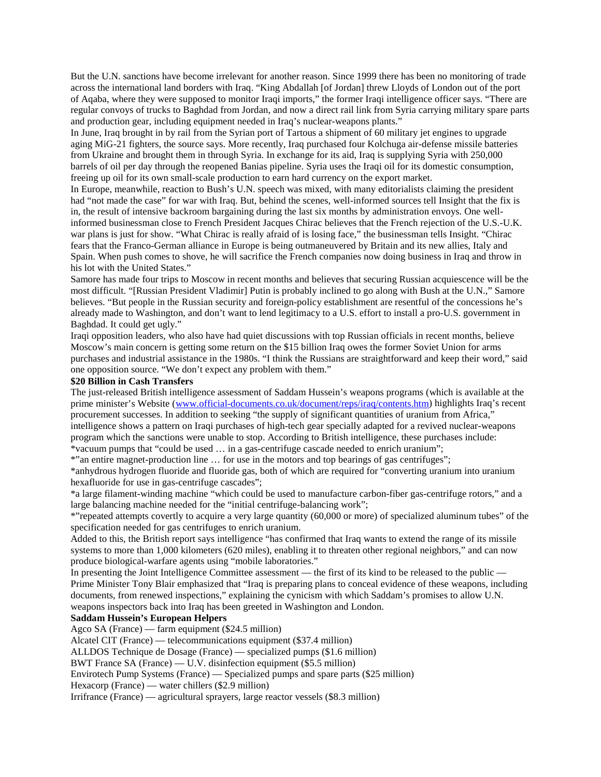But the U.N. sanctions have become irrelevant for another reason. Since 1999 there has been no monitoring of trade across the international land borders with Iraq. "King Abdallah [of Jordan] threw Lloyds of London out of the port of Aqaba, where they were supposed to monitor Iraqi imports," the former Iraqi intelligence officer says. "There are regular convoys of trucks to Baghdad from Jordan, and now a direct rail link from Syria carrying military spare parts and production gear, including equipment needed in Iraq's nuclear-weapons plants."

In June, Iraq brought in by rail from the Syrian port of Tartous a shipment of 60 military jet engines to upgrade aging MiG-21 fighters, the source says. More recently, Iraq purchased four Kolchuga air-defense missile batteries from Ukraine and brought them in through Syria. In exchange for its aid, Iraq is supplying Syria with 250,000 barrels of oil per day through the reopened Banias pipeline. Syria uses the Iraqi oil for its domestic consumption, freeing up oil for its own small-scale production to earn hard currency on the export market.

In Europe, meanwhile, reaction to Bush's U.N. speech was mixed, with many editorialists claiming the president had "not made the case" for war with Iraq. But, behind the scenes, well-informed sources tell Insight that the fix is in, the result of intensive backroom bargaining during the last six months by administration envoys. One wellinformed businessman close to French President Jacques Chirac believes that the French rejection of the U.S.-U.K. war plans is just for show. "What Chirac is really afraid of is losing face," the businessman tells Insight. "Chirac fears that the Franco-German alliance in Europe is being outmaneuvered by Britain and its new allies, Italy and Spain. When push comes to shove, he will sacrifice the French companies now doing business in Iraq and throw in his lot with the United States."

Samore has made four trips to Moscow in recent months and believes that securing Russian acquiescence will be the most difficult. "[Russian President Vladimir] Putin is probably inclined to go along with Bush at the U.N.," Samore believes. "But people in the Russian security and foreign-policy establishment are resentful of the concessions he's already made to Washington, and don't want to lend legitimacy to a U.S. effort to install a pro-U.S. government in Baghdad. It could get ugly."

Iraqi opposition leaders, who also have had quiet discussions with top Russian officials in recent months, believe Moscow's main concern is getting some return on the \$15 billion Iraq owes the former Soviet Union for arms purchases and industrial assistance in the 1980s. "I think the Russians are straightforward and keep their word," said one opposition source. "We don't expect any problem with them."

#### **\$20 Billion in Cash Transfers**

The just-released British intelligence assessment of Saddam Hussein's weapons programs (which is available at the prime minister's Website [\(www.official-documents.co.uk/document/reps/iraq/contents.htm\)](http://www.official-documents.co.uk/document/reps/iraq/contents.htm) highlights Iraq's recent procurement successes. In addition to seeking "the supply of significant quantities of uranium from Africa," intelligence shows a pattern on Iraqi purchases of high-tech gear specially adapted for a revived nuclear-weapons program which the sanctions were unable to stop. According to British intelligence, these purchases include: \*vacuum pumps that "could be used … in a gas-centrifuge cascade needed to enrich uranium";

\*"an entire magnet-production line … for use in the motors and top bearings of gas centrifuges";

\*anhydrous hydrogen fluoride and fluoride gas, both of which are required for "converting uranium into uranium hexafluoride for use in gas-centrifuge cascades";

\*a large filament-winding machine "which could be used to manufacture carbon-fiber gas-centrifuge rotors," and a large balancing machine needed for the "initial centrifuge-balancing work";

\*"repeated attempts covertly to acquire a very large quantity (60,000 or more) of specialized aluminum tubes" of the specification needed for gas centrifuges to enrich uranium.

Added to this, the British report says intelligence "has confirmed that Iraq wants to extend the range of its missile systems to more than 1,000 kilometers (620 miles), enabling it to threaten other regional neighbors," and can now produce biological-warfare agents using "mobile laboratories."

In presenting the Joint Intelligence Committee assessment — the first of its kind to be released to the public — Prime Minister Tony Blair emphasized that "Iraq is preparing plans to conceal evidence of these weapons, including documents, from renewed inspections," explaining the cynicism with which Saddam's promises to allow U.N. weapons inspectors back into Iraq has been greeted in Washington and London.

#### **Saddam Hussein's European Helpers**

Agco SA (France) — farm equipment (\$24.5 million)

Alcatel CIT (France) — telecommunications equipment (\$37.4 million)

ALLDOS Technique de Dosage (France) — specialized pumps (\$1.6 million)

BWT France SA (France) — U.V. disinfection equipment (\$5.5 million)

Envirotech Pump Systems (France) — Specialized pumps and spare parts (\$25 million)

Hexacorp (France) — water chillers (\$2.9 million)

Irrifrance (France) — agricultural sprayers, large reactor vessels (\$8.3 million)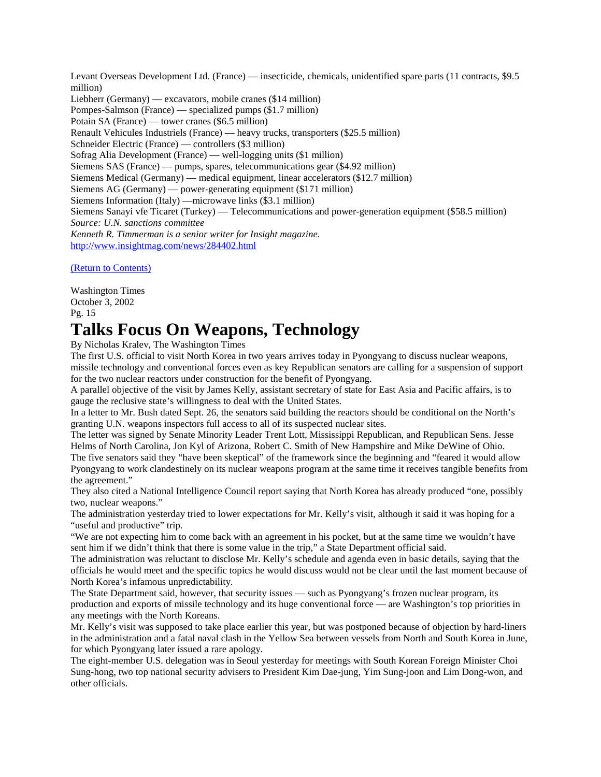Levant Overseas Development Ltd. (France) — insecticide, chemicals, unidentified spare parts (11 contracts, \$9.5 million) Liebherr (Germany) — excavators, mobile cranes (\$14 million) Pompes-Salmson (France) — specialized pumps (\$1.7 million) Potain SA (France) — tower cranes (\$6.5 million) Renault Vehicules Industriels (France) — heavy trucks, transporters (\$25.5 million) Schneider Electric (France) — controllers (\$3 million) Sofrag Alia Development (France) — well-logging units (\$1 million) Siemens SAS (France) — pumps, spares, telecommunications gear (\$4.92 million) Siemens Medical (Germany) — medical equipment, linear accelerators (\$12.7 million) Siemens AG (Germany) — power-generating equipment (\$171 million) Siemens Information (Italy) —microwave links (\$3.1 million) Siemens Sanayi vfe Ticaret (Turkey) — Telecommunications and power-generation equipment (\$58.5 million) *Source: U.N. sanctions committee Kenneth R. Timmerman is a senior writer for Insight magazine.* <http://www.insightmag.com/news/284402.html>

[\(Return to Contents\)](#page-0-0)

Washington Times October 3, 2002 Pg. 15

## <span id="page-26-0"></span>**Talks Focus On Weapons, Technology**

By Nicholas Kralev, The Washington Times

The first U.S. official to visit North Korea in two years arrives today in Pyongyang to discuss nuclear weapons, missile technology and conventional forces even as key Republican senators are calling for a suspension of support for the two nuclear reactors under construction for the benefit of Pyongyang.

A parallel objective of the visit by James Kelly, assistant secretary of state for East Asia and Pacific affairs, is to gauge the reclusive state's willingness to deal with the United States.

In a letter to Mr. Bush dated Sept. 26, the senators said building the reactors should be conditional on the North's granting U.N. weapons inspectors full access to all of its suspected nuclear sites.

The letter was signed by Senate Minority Leader Trent Lott, Mississippi Republican, and Republican Sens. Jesse Helms of North Carolina, Jon Kyl of Arizona, Robert C. Smith of New Hampshire and Mike DeWine of Ohio.

The five senators said they "have been skeptical" of the framework since the beginning and "feared it would allow Pyongyang to work clandestinely on its nuclear weapons program at the same time it receives tangible benefits from the agreement."

They also cited a National Intelligence Council report saying that North Korea has already produced "one, possibly two, nuclear weapons."

The administration yesterday tried to lower expectations for Mr. Kelly's visit, although it said it was hoping for a "useful and productive" trip.

"We are not expecting him to come back with an agreement in his pocket, but at the same time we wouldn't have sent him if we didn't think that there is some value in the trip," a State Department official said.

The administration was reluctant to disclose Mr. Kelly's schedule and agenda even in basic details, saying that the officials he would meet and the specific topics he would discuss would not be clear until the last moment because of North Korea's infamous unpredictability.

The State Department said, however, that security issues — such as Pyongyang's frozen nuclear program, its production and exports of missile technology and its huge conventional force — are Washington's top priorities in any meetings with the North Koreans.

Mr. Kelly's visit was supposed to take place earlier this year, but was postponed because of objection by hard-liners in the administration and a fatal naval clash in the Yellow Sea between vessels from North and South Korea in June, for which Pyongyang later issued a rare apology.

The eight-member U.S. delegation was in Seoul yesterday for meetings with South Korean Foreign Minister Choi Sung-hong, two top national security advisers to President Kim Dae-jung, Yim Sung-joon and Lim Dong-won, and other officials.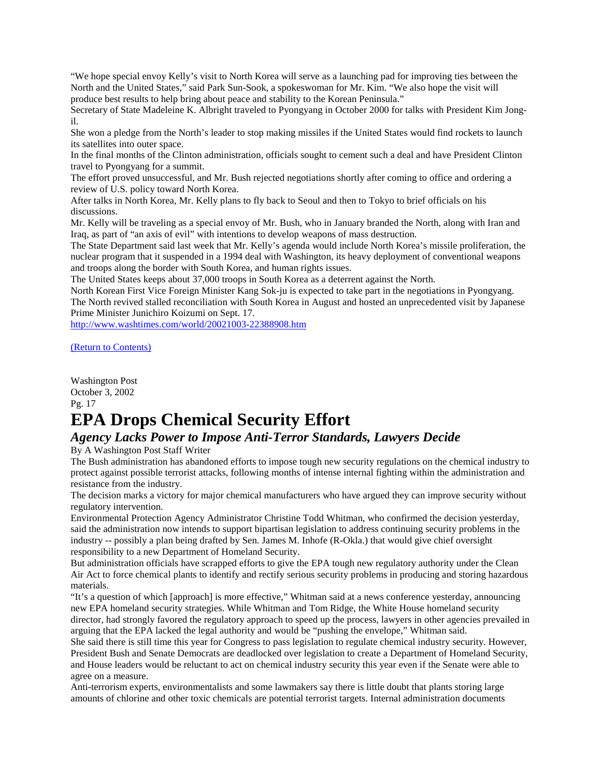"We hope special envoy Kelly's visit to North Korea will serve as a launching pad for improving ties between the North and the United States," said Park Sun-Sook, a spokeswoman for Mr. Kim. "We also hope the visit will produce best results to help bring about peace and stability to the Korean Peninsula."

Secretary of State Madeleine K. Albright traveled to Pyongyang in October 2000 for talks with President Kim Jongil.

She won a pledge from the North's leader to stop making missiles if the United States would find rockets to launch its satellites into outer space.

In the final months of the Clinton administration, officials sought to cement such a deal and have President Clinton travel to Pyongyang for a summit.

The effort proved unsuccessful, and Mr. Bush rejected negotiations shortly after coming to office and ordering a review of U.S. policy toward North Korea.

After talks in North Korea, Mr. Kelly plans to fly back to Seoul and then to Tokyo to brief officials on his discussions.

Mr. Kelly will be traveling as a special envoy of Mr. Bush, who in January branded the North, along with Iran and Iraq, as part of "an axis of evil" with intentions to develop weapons of mass destruction.

The State Department said last week that Mr. Kelly's agenda would include North Korea's missile proliferation, the nuclear program that it suspended in a 1994 deal with Washington, its heavy deployment of conventional weapons and troops along the border with South Korea, and human rights issues.

The United States keeps about 37,000 troops in South Korea as a deterrent against the North.

North Korean First Vice Foreign Minister Kang Sok-ju is expected to take part in the negotiations in Pyongyang. The North revived stalled reconciliation with South Korea in August and hosted an unprecedented visit by Japanese Prime Minister Junichiro Koizumi on Sept. 17.

<http://www.washtimes.com/world/20021003-22388908.htm>

[\(Return to Contents\)](#page-0-0)

Washington Post October 3, 2002 Pg. 17 **EPA Drops Chemical Security Effort** 

# <span id="page-27-0"></span>*Agency Lacks Power to Impose Anti-Terror Standards, Lawyers Decide*

By A Washington Post Staff Writer

The Bush administration has abandoned efforts to impose tough new security regulations on the chemical industry to protect against possible terrorist attacks, following months of intense internal fighting within the administration and resistance from the industry.

The decision marks a victory for major chemical manufacturers who have argued they can improve security without regulatory intervention.

Environmental Protection Agency Administrator Christine Todd Whitman, who confirmed the decision yesterday, said the administration now intends to support bipartisan legislation to address continuing security problems in the industry -- possibly a plan being drafted by Sen. James M. Inhofe (R-Okla.) that would give chief oversight responsibility to a new Department of Homeland Security.

But administration officials have scrapped efforts to give the EPA tough new regulatory authority under the Clean Air Act to force chemical plants to identify and rectify serious security problems in producing and storing hazardous materials.

"It's a question of which [approach] is more effective," Whitman said at a news conference yesterday, announcing new EPA homeland security strategies. While Whitman and Tom Ridge, the White House homeland security director, had strongly favored the regulatory approach to speed up the process, lawyers in other agencies prevailed in arguing that the EPA lacked the legal authority and would be "pushing the envelope," Whitman said.

She said there is still time this year for Congress to pass legislation to regulate chemical industry security. However, President Bush and Senate Democrats are deadlocked over legislation to create a Department of Homeland Security, and House leaders would be reluctant to act on chemical industry security this year even if the Senate were able to agree on a measure.

Anti-terrorism experts, environmentalists and some lawmakers say there is little doubt that plants storing large amounts of chlorine and other toxic chemicals are potential terrorist targets. Internal administration documents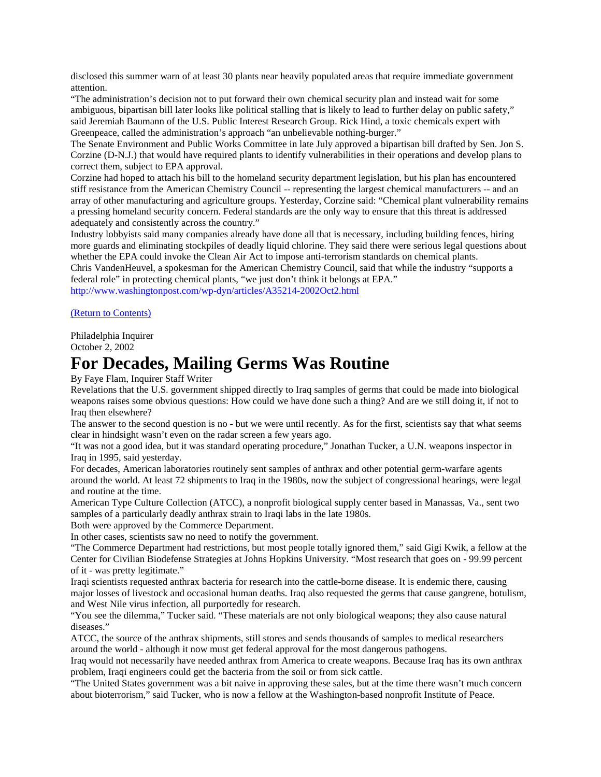disclosed this summer warn of at least 30 plants near heavily populated areas that require immediate government attention.

"The administration's decision not to put forward their own chemical security plan and instead wait for some ambiguous, bipartisan bill later looks like political stalling that is likely to lead to further delay on public safety," said Jeremiah Baumann of the U.S. Public Interest Research Group. Rick Hind, a toxic chemicals expert with Greenpeace, called the administration's approach "an unbelievable nothing-burger."

The Senate Environment and Public Works Committee in late July approved a bipartisan bill drafted by Sen. Jon S. Corzine (D-N.J.) that would have required plants to identify vulnerabilities in their operations and develop plans to correct them, subject to EPA approval.

Corzine had hoped to attach his bill to the homeland security department legislation, but his plan has encountered stiff resistance from the American Chemistry Council -- representing the largest chemical manufacturers -- and an array of other manufacturing and agriculture groups. Yesterday, Corzine said: "Chemical plant vulnerability remains a pressing homeland security concern. Federal standards are the only way to ensure that this threat is addressed adequately and consistently across the country."

Industry lobbyists said many companies already have done all that is necessary, including building fences, hiring more guards and eliminating stockpiles of deadly liquid chlorine. They said there were serious legal questions about whether the EPA could invoke the Clean Air Act to impose anti-terrorism standards on chemical plants.

Chris VandenHeuvel, a spokesman for the American Chemistry Council, said that while the industry "supports a federal role" in protecting chemical plants, "we just don't think it belongs at EPA."

<http://www.washingtonpost.com/wp-dyn/articles/A35214-2002Oct2.html>

[\(Return to Contents\)](#page-0-0)

Philadelphia Inquirer October 2, 2002

### <span id="page-28-0"></span>**For Decades, Mailing Germs Was Routine**

By Faye Flam, Inquirer Staff Writer

Revelations that the U.S. government shipped directly to Iraq samples of germs that could be made into biological weapons raises some obvious questions: How could we have done such a thing? And are we still doing it, if not to Iraq then elsewhere?

The answer to the second question is no - but we were until recently. As for the first, scientists say that what seems clear in hindsight wasn't even on the radar screen a few years ago.

"It was not a good idea, but it was standard operating procedure," Jonathan Tucker, a U.N. weapons inspector in Iraq in 1995, said yesterday.

For decades, American laboratories routinely sent samples of anthrax and other potential germ-warfare agents around the world. At least 72 shipments to Iraq in the 1980s, now the subject of congressional hearings, were legal and routine at the time.

American Type Culture Collection (ATCC), a nonprofit biological supply center based in Manassas, Va., sent two samples of a particularly deadly anthrax strain to Iraqi labs in the late 1980s.

Both were approved by the Commerce Department.

In other cases, scientists saw no need to notify the government.

"The Commerce Department had restrictions, but most people totally ignored them," said Gigi Kwik, a fellow at the Center for Civilian Biodefense Strategies at Johns Hopkins University. "Most research that goes on - 99.99 percent of it - was pretty legitimate."

Iraqi scientists requested anthrax bacteria for research into the cattle-borne disease. It is endemic there, causing major losses of livestock and occasional human deaths. Iraq also requested the germs that cause gangrene, botulism, and West Nile virus infection, all purportedly for research.

"You see the dilemma," Tucker said. "These materials are not only biological weapons; they also cause natural diseases."

ATCC, the source of the anthrax shipments, still stores and sends thousands of samples to medical researchers around the world - although it now must get federal approval for the most dangerous pathogens.

Iraq would not necessarily have needed anthrax from America to create weapons. Because Iraq has its own anthrax problem, Iraqi engineers could get the bacteria from the soil or from sick cattle.

"The United States government was a bit naive in approving these sales, but at the time there wasn't much concern about bioterrorism," said Tucker, who is now a fellow at the Washington-based nonprofit Institute of Peace.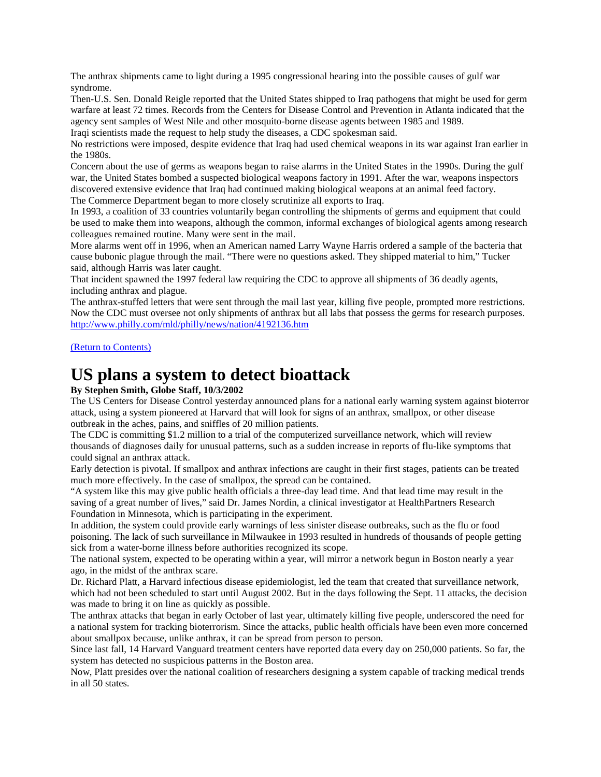The anthrax shipments came to light during a 1995 congressional hearing into the possible causes of gulf war syndrome.

Then-U.S. Sen. Donald Reigle reported that the United States shipped to Iraq pathogens that might be used for germ warfare at least 72 times. Records from the Centers for Disease Control and Prevention in Atlanta indicated that the agency sent samples of West Nile and other mosquito-borne disease agents between 1985 and 1989.

Iraqi scientists made the request to help study the diseases, a CDC spokesman said.

No restrictions were imposed, despite evidence that Iraq had used chemical weapons in its war against Iran earlier in the 1980s.

Concern about the use of germs as weapons began to raise alarms in the United States in the 1990s. During the gulf war, the United States bombed a suspected biological weapons factory in 1991. After the war, weapons inspectors discovered extensive evidence that Iraq had continued making biological weapons at an animal feed factory.

The Commerce Department began to more closely scrutinize all exports to Iraq.

In 1993, a coalition of 33 countries voluntarily began controlling the shipments of germs and equipment that could be used to make them into weapons, although the common, informal exchanges of biological agents among research colleagues remained routine. Many were sent in the mail.

More alarms went off in 1996, when an American named Larry Wayne Harris ordered a sample of the bacteria that cause bubonic plague through the mail. "There were no questions asked. They shipped material to him," Tucker said, although Harris was later caught.

That incident spawned the 1997 federal law requiring the CDC to approve all shipments of 36 deadly agents, including anthrax and plague.

The anthrax-stuffed letters that were sent through the mail last year, killing five people, prompted more restrictions. Now the CDC must oversee not only shipments of anthrax but all labs that possess the germs for research purposes. <http://www.philly.com/mld/philly/news/nation/4192136.htm>

[\(Return to Contents\)](#page-0-0)

### <span id="page-29-0"></span>**US plans a system to detect bioattack**

#### **By Stephen Smith, Globe Staff, 10/3/2002**

The US Centers for Disease Control yesterday announced plans for a national early warning system against bioterror attack, using a system pioneered at Harvard that will look for signs of an anthrax, smallpox, or other disease outbreak in the aches, pains, and sniffles of 20 million patients.

The CDC is committing \$1.2 million to a trial of the computerized surveillance network, which will review thousands of diagnoses daily for unusual patterns, such as a sudden increase in reports of flu-like symptoms that could signal an anthrax attack.

Early detection is pivotal. If smallpox and anthrax infections are caught in their first stages, patients can be treated much more effectively. In the case of smallpox, the spread can be contained.

"A system like this may give public health officials a three-day lead time. And that lead time may result in the saving of a great number of lives," said Dr. James Nordin, a clinical investigator at HealthPartners Research Foundation in Minnesota, which is participating in the experiment.

In addition, the system could provide early warnings of less sinister disease outbreaks, such as the flu or food poisoning. The lack of such surveillance in Milwaukee in 1993 resulted in hundreds of thousands of people getting sick from a water-borne illness before authorities recognized its scope.

The national system, expected to be operating within a year, will mirror a network begun in Boston nearly a year ago, in the midst of the anthrax scare.

Dr. Richard Platt, a Harvard infectious disease epidemiologist, led the team that created that surveillance network, which had not been scheduled to start until August 2002. But in the days following the Sept. 11 attacks, the decision was made to bring it on line as quickly as possible.

The anthrax attacks that began in early October of last year, ultimately killing five people, underscored the need for a national system for tracking bioterrorism. Since the attacks, public health officials have been even more concerned about smallpox because, unlike anthrax, it can be spread from person to person.

Since last fall, 14 Harvard Vanguard treatment centers have reported data every day on 250,000 patients. So far, the system has detected no suspicious patterns in the Boston area.

Now, Platt presides over the national coalition of researchers designing a system capable of tracking medical trends in all 50 states.